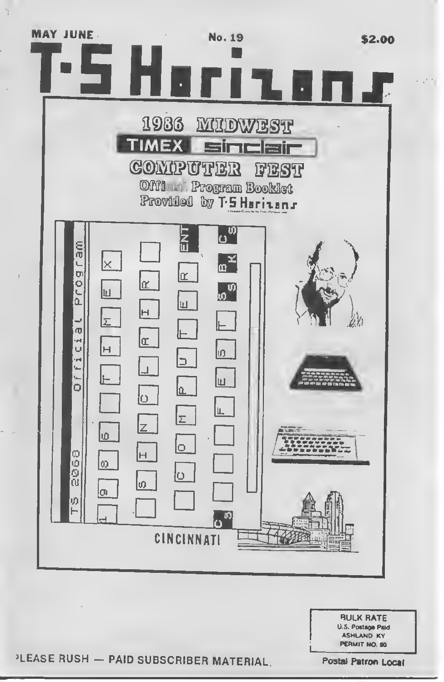

**BULK RATE** U.S. Postage Paid **ASHLAND KY** PERMIT NO. 90

PLEASE RUSH - PAID SUBSCRIBER MATERIAL.

**Postal Patron Local**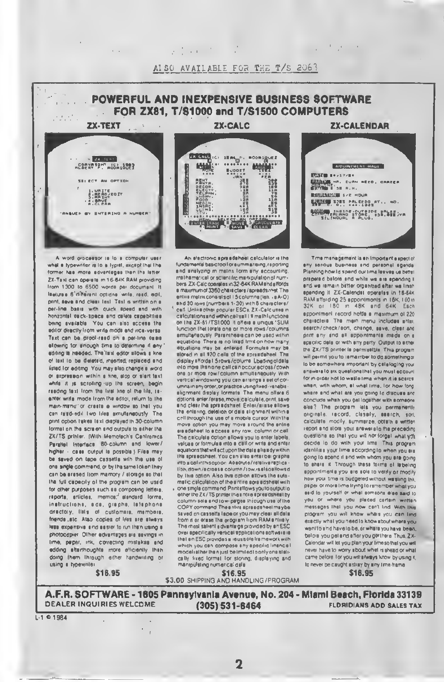

A word organisor in to a computer user what a typewriter is to a typiet, except that the former has more adventages than the latter ZX-Text can operate in 16-64K RAM providing from 1300 to 6500 words per document. It leatures 6 different cotions write, reed, add. print, save and clear lexi. Taxi is written on a per-line basis with quick speed and with honzontal deck-specs and delete capabilities being available. You can also access the editor directly from write mode and vice-versal Text can be proof-read on a per-line ower ellowing for einough time to determine if eny edring is needed. The laxl editor allows a kne of laxi to be deteted, meeted replaced and listed for editing. You may also change a word or expression within a fine, slop or start text. while it is scrolling up the screen, begin reading text from the liret line of the file, seenter write mode from the editor, return to the main-menul or creete a window so that you can read-edil two liles emulteneously. The print option liakes taxt displayed in 30-column. lormal on the screen and outputs to adher the ZX/TS printer. (With Memofach's Centromics Parallel Interface 80-column and lower/ higher - case output la possible i Files may be saved on tape cassette with the use of one angle commend, or by the same token they can be eresed from mamory / storage so that that full capacity of the program can be used for other purposes such as composing letters. reports, articles, memos, slandard forms, instructions, eds, graphs, latephone directory, flets of customers, members, friends "stc. Also copies of lifes are stways lette expensive and as star to run than using a photocopier. Other advantages are eavings in lime, peper, ink, correcting mislakes and edding sherthoughts more efficiently than doing them through either handwirling or using a typewnter



ALSO AVAILABLE FOR THE T/S 2063

a that is the

An alactronic aprendaheel calculator in the fundamental basic tool or aummarising, reporting and enalyzing in mainx form any accounting. mathematical or screntific manupulation of num bers. ZX-Calc operates in 32-64K RAM sind sitords a majuritum of 3360 characters / spreads and The enius mairix consists di 15 columnation, .e.A.O) end 30 rows (numbers 1-30) with 8 characters/ call Unlike other popular ESCs, ZX-Calcuses in celculations and within cell sail 11 math lunctions on the ZX-81/TS1000 R offers a uniqus 'SUM lunction that totals one or more rows /columns. emulteneously. Perenthesia can be used within equations. There is no lixed limit on how many equalions may be entered. Formules may be elored in all 120 cells of the aprandaheel. The display effords I 5 rows/column Lbsding of dels into more than one cell can occur across/down one or more row/column eimulteneouely. With vertical windowing you can arrange a sel of corumns in any order, or practice using fixed-vanablealignment display formate. The menu offers 6 dotions anier/erase, move calculate, orint, save and clear the spreadshaet. Enter/arrase allows the enlering, detellion or date slignment within a cell through the use of a mobile cureor Withthe move aption you may move eround the entire are adaheet to a coses any row, column or cell The calculate option ellows you to enter labels values or formulas into a call or write and enter equations that will act upon the data alraindy within the apreadsheet. You can also enter bei graphe into a callinthis option. Accordia/relative reblica lion, down/scrosse column / low.rsslsoellowsd by this option. Also this option stlows the sulomatic calculation of the antire agreedsheet with

one single commend Printettows youto output to<br>ether the ZX/TS printer their ntria epresidshest by column-sele and low-pages thiough use of the COPY command Theantire apreadsheel maybe saved on cassette lape or you may clear all data from it or erase that or ogram from RAM antilaly The most salient a dvantage provided by an ESC over specifically vertical spplications software is that an ESC provides a reussore framework with which you can compose any apecific linencial model sther then just be imited to only one statically lixed format for storing, displaying and manipulating numerical dele

**ZX-CALENDAR** 

and the state of the state of



Time mensionment is an important a speci of any serious business and personal spends Planning how id spend our lima leeves us better prepared before and while we are spending it and we remain batter organized after we lineh spending It. ZX-Calendet operates in 15-54K RAM stording 25 appointments in 18K, 100 in 32K or 180 m 48K and 64K Each appointment record holds a maximum of 220 characters. The main menu includes antal, search/check/sort, change, save, clasr and print any and all appointments made on a spacific data or with any party. Output to either the ZX/TS printer to permissible. This program will permit you to remainber to do something or to be somewhere important by cataloging your enswire to aix questions that you must account for in order hot to weste time when it is scarcs. when, with whom, et what trine, for how ford where and what are you going to discuss and conclude whith you get logather with someone else? The program lets you permanently originate. record, classify, eserch, soil, calculate modily, summerge, obtain a written report and store your answers to the preceding questions so that you will nor forgall what you decide to do with your time. This program identifies your time according to when you era going to spend it and with whom you are going to share it. Through these forms of lebeling appointments you are sole to verify or modify how your time is budgeted without wasting this peper or more lime it ying to remember what you seid to yourself or what someons else said to you or where you placed certein written messages that you now can't lind. With this program you will know where you can lind exectly whet you need to know sbout where you wani to shd have to be, or where you have been, before you get and after you got there. Thus, 2X-Calendar will let you plan your time so that you will never have to worry about whet is shead or what came before for you will silways know by using it, to never be caught astray by any time-frame. \$16.95

\$16.95

**DEALER INQUIRIES WELCOME** 

\$16.95 \$3.00 SHIPPING AND HANDLING / PROGRAM

 $(305) 531 - 6464$ 

A.F.R. SOFTWARE - 1605 Pannsylvania Avenue, No. 204 - Miami Beach, Florida 33139 **FLDRIDIANS ADD SALES TAX** 

 $L - 1 = 1984$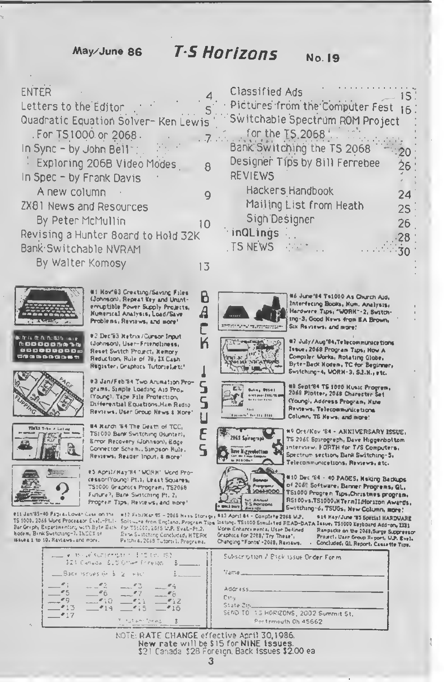May/June 86

## **T.S Horizons**

#### **No. 19**

| <b>ENTER</b>                                                                                                                                        |    | <b>Classified Ads</b>                                                                                                                 |        |
|-----------------------------------------------------------------------------------------------------------------------------------------------------|----|---------------------------------------------------------------------------------------------------------------------------------------|--------|
| Letters to the Editor                                                                                                                               |    | Pictures from the Computer Fest 16.                                                                                                   |        |
| Quadratic Equation Solver- Ken Lewis<br>. For TS1000 or 2068.<br>In Sync - by John Bell":<br>Exploring 206B Video Modes<br>In Spec - by Frank Davis |    | Switchable Spectrum ROM Project<br>for the 15,2068.<br>Bank Switching the TS 2068<br>Designer Tips by 8ill Ferrebee<br><b>REVIEWS</b> | 26.    |
| A new column                                                                                                                                        |    | Hackers Handbook                                                                                                                      | 24.    |
| ZX81 News and Resources                                                                                                                             |    | Mailing List from Heath                                                                                                               | $25 -$ |
| By Peter McMullin                                                                                                                                   | 10 | Sign Designer                                                                                                                         | 26     |
| Revising a Hunter Board to Hold 32K                                                                                                                 |    | inQLings                                                                                                                              |        |
| Bank Switchable NVRAM                                                                                                                               |    | TS NEWS Part                                                                                                                          |        |
| By Walter Komosy                                                                                                                                    | E  |                                                                                                                                       |        |
| Hov"63 Creating/Saving Files<br>(Johnson), Repeat Key and Unint-                                                                                    |    | Ts1000 As Olymph Aid,                                                                                                                 |        |

 $\overline{A}$ 

K

S

S

Ц

E

 $\overline{q}$ 



in fra de facta dato social **MODODOMA34** 800000000 GNOBACOST





 $\frac{1}{2}$ 

#11 Jan'85-40 Pages, Lowan Case on the TS 1000. 2068 Word Processor Evel.-Pt.I - Soliware from England, Program Tips listing, TS1000 Similated READ-DATA Issue; TS1000 Keyboard Add-on, 2081 Bar Graph, Expanimenting with Byte Bath, for TStaco, 2015 the Example 12, help Example 12, help State Pack ISSUEE 1 to 10. Raviaws, and more.

#12 F+5/Har 95 - 2066 N+ss Storage, 913 April 84 - Complete 2068 U.P. Esma Sustationg Concluded, HTERM

erruptible Power Supply Projects,

Numerical Analysis, Load/Save

Problems, Reviews, and more!

#2 Dec'83 Retrix/Curson Input

(Johnson), User-Friendliness,

Reset Switch Project, Kemory

Reduction, Rule of 70, 2X Cash

Register: Graphics Tutoriel,etc'

grams. Simple Loading Aid Pros-

(Young), Tape File Protection.

#3 Jan/Feb'84 Two Arumation Pro-

Differential Equations, Ham Radio

Reviews, User Group News & Hore!

**84 Rarch '64 The Death of TCC.** 

TS1000 Bank Switching Olunter),

**Smar Recovery (Johnson), Edge** 

Reviews, Reader Input, & more!

Connector Schemi, Sampson Rule.

#5 April/Hay'84 "WORH" Mord Pro-

cessor(Young) Pt.1, Least Squares,

TS1000 Graphics Program, TS2068

Progren Tips, Reviews, and more!

Future?, Bank Switching Pt. 2,

EL Being Otter 野 with pays 2002/030  $1141$ **Resident Section Plan** 

en establecen

糟

ar 1.<br>Galerika

779 H

بكرج

æ





08 Sept'64 TS 1000 Husic Progrem,<br>2068 Plotter, 2068 Charecter Set (Young), Address Program, Nave Reviews, Telecommunications Column, TS News, and more!

Interfecing Books, Num. Analysis,

Hardwere Tips, "WORK"-2, Switch-

Ing-3, Good News from EA Brown,

07 July / Aug'04, Telecommunice tions

Byte-Back Hodem, TC for Beginner,

Issue, 2048 Program Tips, How A

Compiler Works, Rotating Globe,

Switching-4, UORH-3, S.J.N., etc.

Stx Rsysews, and more!

#9 Ort/Nov '84 - ANNIVERSARY ISSUE, TS 2060 Spirogreph, Dave Higgenbottom interview, FORTH for T/S Computers, Spectrum section, Bank Switching-5, Telecommunications, Reviews, etc.

#10 Dec %4 - 40 PAGES, Making Backups of 2068 Software, Banner Progrems, QL, T51000 Progrem Tips, Christmes program. RS100vs.TS1000.WTermIIdforizon Awards. Switching-6, TSUGs, New Column, mare!

Vorm Enhancemental User Defined Graphics for 2018, Try These's Changing "Fonts' -2048, Raviaws.

814 Kay/June '85 Special HARDWARE Ranpacke on the 2048 Surge Suppressor Project, User Group Report, U.P. Evel. . Concluded, QL Report, Cassette Tips.

| - → Move surrender i i'mite, SD<br>GIN Canada GuS Grae Erreson (Gust)                                                                 | Subscription / Blick issue Onder Form.                                                                       |
|---------------------------------------------------------------------------------------------------------------------------------------|--------------------------------------------------------------------------------------------------------------|
| ESSON ISSUES (61   5   2   HBC)<br>$\frac{1}{2}$ and $\frac{1}{2}$                                                                    | <b>Charter Communication</b>                                                                                 |
| $-11 - 12 - 13 - 14$<br>$-5$<br>$-6$ $-7$ $-6$<br>——"9.<br>$-10 -11 = -12$<br>$-413$<br>$-414$ $-415$ $-415$<br>The state free to the | Address ________<br>Citul<br>State Zincolling<br>SEND TO 15 HORIZONS, 2002 Summit St.<br>Portsmouth Oh 45662 |

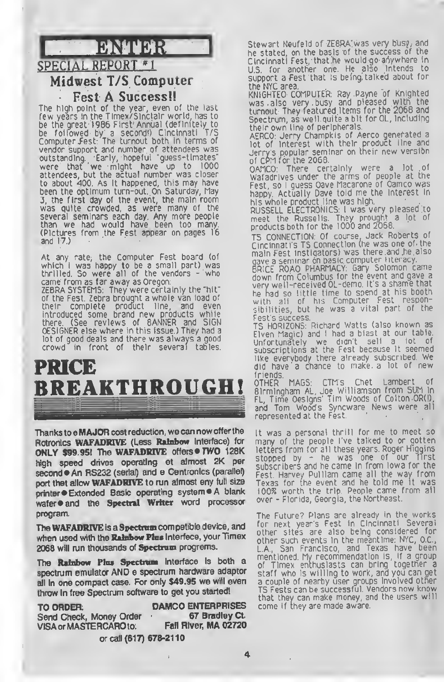

### Midwest T/S Computer

#### Fest A Success!!

The high point of the year, even of the last few years In the Timex/SInclalr world, has to be the great 1986 First Annual (definitely to<br>he followed by a second!) Cincinnati T/S be followed by a second') Cincinnati T/5 Computer /est. The turnout both in terms of vendor support and number of attendees was outstanding. Early, hopeful "guess-tlmates" were that we might have up to 1000 attendees, but the actual number was closer to about 400. As It happened, this may have been the optimum turn-out. On Saturday, May 3, the first day of the event, the main room was quite crowded, as were many of the several seminars each day. Any more people than we had would have been too many. (Pictures from the Fest appear on pages 16 and 17.)

At any rate, the Computer Fest board (of which <sup>I</sup> was happy to be <sup>a</sup> small part) was thrilled. So were all of the vendors - who came from as far away as Oregon: ZEBRA SYSTEMS: They were certainly the "hit" of the Fest. Zebra brought a whole van load of<br>their complete product line, and even their complete product line, and even introduced some brand new products while there. (See reviews of BANNER and SIGN DESIGNER else where in this issue.) They had a lot of good deals and there was always a good crowd in front of their several tables

## PRICE BREAKTHROUGH!

Thanks to a MAJOR cost reduction, we can now offer the Rotronics WAFADRIVE (Less Rainbow Interface) for ONLY \$99.95! The WAFADRIVE offers · TWO 128K high speed drives operating at almost 2K per second An RS232 (serial) and e Centronics (parallel) port thet allow WAFADRIVE to run almost eny full size printer · Extended Basic operating system · A blank wafer  $\bullet$  and the Spectral Writer word processor program.

The WAFADRIVE is a Spectrum compatible device, and when used with the Rainbow Plus Interfece, your Timex 2068 will run thousands of Spectrum programs.

The Rainbow Plus Spectrum interface is both a spectrum emulator AND e spectrum hardware adaptor all in one compact case. For only \$49.95 we will even throw in free Spectrum software to get you started!

TO ORDER: DAMCO ENTERPRISES<br>Send Check. Money Order 67 Bradley Ct. Send Check, Money Order • 67 Bradley Ct.<br>VISA or MASTERCAROto: Fall River, MA 02720 VISA or MASTERCARO to:

or call (617) 678-2110

Stewart Neufeld of ZE8RA was very busy, and he stated, on the basis of the success of the Cincinnati Fest, that he would go anywhere in US for another one He also intends to support a Fest that Is being, talked about for

the NYC area. KNIGHTED COMPUTER: Ray Payne of Knighted was also very busy and pleased with the turnout. They featured Items for the 2068 and Spectrum, as well quite a bit for QL, including their own line of peripherals.

AERCO: Jerry Champkis of Aerco generated <sup>a</sup> lot of interest with their product line and Jerry's popular seminar on their new verslbn of CPM for the 2068.  $\,$ 

OAMCO: There certainly were a lot of Wafadrives under the arms of people at the Fest, so <sup>l</sup> guess Dave Macarone of Damco was happy. Actually Dave told me the interest in his whole product line was high.

RUSSELL ELECTRONICS: <sup>I</sup> was very pleased to meet the Russelis. They prought a lot of products both for the <sup>1</sup> 000 and 2068.

T5 CONNECTION: Of course, Jack Roberts of Cincinnati's T5 Connection (he was one of the main Fest instigators) was there and he also

gave <sup>a</sup> seminar on basic computer literacy. BRICE ROAD PHARMACY: Gary Solomon came down from Columbus for the event and gave <sup>a</sup> very well-received OL-demo. It's a shame that he had so little time to spend at his booth with all of his Computer Fest responsibilities, but he was a vital part of the Test's success

TS HORIZONS: Richard Watts (also known as Elven Magic) and <sup>I</sup> had a blast at our table. Unfortunately we didn't sell <sup>a</sup> lot of subscriptions at the Fest because it seemed like everybody there already subscribed. We did have' <sup>a</sup> chance to make <sup>a</sup> lot of new friends.

OTHER MAGS: CTM's Chet Lambert of Birmingham AL, Joe Williamson from SUM in FL, Time Designs' Tim Woods of Colton OR(l), and Tom Wood's Syncware News were all represented at the Fest.

It was <sup>a</sup> personal thrill for me to meet so many of the people I've talked to or gotten letters from for all these years. Roger Higgins stopped by - he was one of our first subscribers and he came in from Iowa for the Fest. Harvey Pulliam came all the way from Texas for the event and he told me It was <sup>1</sup> 00% worth the trip People came from all over - Florida, Georgia, the Northeast.

The Future? Plans are already in the works for next year's Fest in Cincinnati. Several other sites are also being considered for other such events in the meantime: NYC, DC., <sup>L</sup> A, San Francisco, and Texas have been mentioned My recommendation is, if <sup>a</sup> group of Timex enthusiasts can bring together <sup>a</sup> staff who is willing to work, and you can get a couple of nearby user groups involved other TS Fests can be successful. Vendors now know that they can make money, and the users will come if they are made aware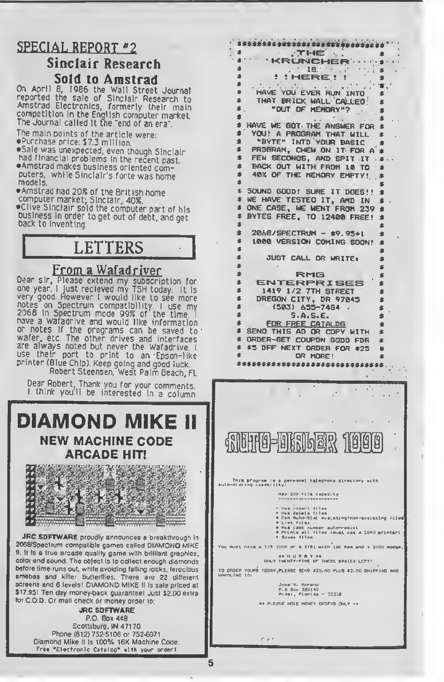## **SPECIAL REPORT #2**

### Sinclair Research Sold to Amstrad

On April 8, 1986 the Wall Street Journal reported the sale of Sinclair Research to<br>Amstrad Electronics, formerly their main competition in the English computer market. The Journal called It the "end of an era".

The main points of the article were: aPurchase price: \$7.3 million

**Sale was unexpected, even though Sinclair**<br>had financial problems in the recent past.  $\diamond$  Amstrad makes business oriented computers, while Sinclair's forte was home models.

aAmstrad had 20% of the British home computer market; Sinclair, 40%. •CHye Sinclair sold the computer part of his business in order to get out of debt, and get<br>back to Inventing

## LETTERS

### From a Wafadriver

Dear sir, Please extend my subscription for one year. I just recieved my TSH today. It is<br>very good. However I would like to see more notes on Spectrum compatibility. <sup>I</sup> use my <sup>2068</sup> In Spectrum mode 99% of the time <sup>I</sup> have <sup>a</sup> Wafadrive and would like information or notes if the programs can be saved to wafer, etc. The other drives and interfaces are always noted but never the Wafadrive <sup>I</sup> use their port to print to an Epson-like printer (Blue Chip). Keep going and good luck Robert Steensen, West Palm Beach, FL

Dear Robert, Thank you for your comments. <sup>I</sup> think you <sup>1</sup> <sup>1</sup> be interested in <sup>a</sup> column

## DIAMOND MIKE II NEW MACHINE CODE ARCADE HIT!



JRC SDFTWARE proudly announces a breakthrough in 2068/Spectrum compatible games called DIAMOND MIKE II. It Is a true arcade quality game with brilliant graphics, color and sound. The object is to collect enough diamonds before time runs out, while avoiding fatting rocks, ferocious amebas and killer butterflies. There are 22 different screens and 6 levels! DIAMOND MIKE II is sale priced at \$17.951 Ten day money-back guarantee1 Just \$2.00 extra tor C.O.D. Or mall check or money order to:

JRC SOFTWARE P.O. Box 448 Scottsburg, IN 47170 Phone (812) 752-5106 or 752-6071 Diamond Mike II is 100% 16K Machine Code. Free "Electronic Catalog" »lth your order <sup>I</sup>

» THE « \* KRUNCHER - - • \* • •  $\frac{1}{2}$   $\frac{1}{2}$   $\frac{1}{2}$   $\frac{1}{2}$   $\frac{1}{2}$   $\frac{1}{2}$   $\frac{1}{2}$   $\frac{1}{2}$   $\frac{1}{2}$   $\frac{1}{2}$   $\frac{1}{2}$   $\frac{1}{2}$   $\frac{1}{2}$   $\frac{1}{2}$   $\frac{1}{2}$   $\frac{1}{2}$   $\frac{1}{2}$   $\frac{1}{2}$   $\frac{1}{2}$   $\frac{1}{2}$   $\frac{1}{2}$   $\frac{1}{2}$  \* . . ... , , \* HAVE YOU EVER RUN INTO \* \* THAT BRICK WALL CALLED! S \* "OUT OF MEMORY"? \* \* <sup>r</sup> \*<br>\* HAVE WE GOT THE ANSWER FOR \*<br>\* YOU! A PROGRAM THAT WILL \* \* YOU! A PROGRAM THAT WILL \* \* "BYTE" INTO YOUR BASIC \* \* PROGRAM, CHEW ON IT FOR A \*  $*$  FEW SECONOS, AND SPIT IT  $.*$ \* BACK OUT WITH FROM 10 TO \* \* 40X OF THE MEMORY EMPTY! \* \* \* <sup>C</sup> SOUND GOOD! SURE IT DOES!! \* \* WE HAVE TESTED IT, AND IN \* \* ONE CASE, WE WENT FROM 239 • \* BYTES FREE, TO 124B0 FREE! \* \* • \* 2068 /SPECTRUM - \*9.93\*1 \* \* 1000 VERSION COMING SOON! • \* • \* JUST CALL OR WRITEi \* \* \* \* RMQ « \* ENTERPRISES \* \* 1419 1/2 7TH STREET \* \* DREGON CITY, DR 97845 \*  $*$  (503) 655-7484 . 5.A.S.E. \* \* FOR FREE CATALDG \* \* SEND THIS AD OR COPY WITH \* \* ORDER-GET COUPON GOOD FOR \* \* \*5 OFF NEXT ORDER FOR \*23 « OR MORE! s\*\*\*s\*s\*s\*\*\*ss\*\*s\*\*\*s«ssss\*\*ss

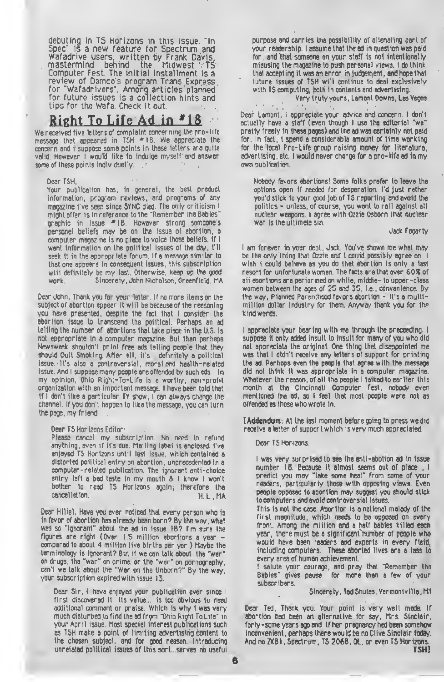debuting in T5 Horizons in this issue. "In Spec" is <sup>a</sup> new feature for Spectrum and Wafadrive users, written by Frank Davis, mastermind behind the Midwest  $\Upsilon$ TS  $\,$ Computer Fest. The initial installment is a review of Damco's program Trans Express for "Wafadrivers". Among articles planned for future issues is a collection hints and tips for the Wafa. Check it out.

### Right To Life Ad in.<sup>#18</sup>

We received five letters of complaint concerning the pro-life message that appeared in TSH \*18 We appreciate the concern and i suppose some points in these ietters are quite valid. However <sup>I</sup> would like to indulge myself and answer some of these points individuelly.

#### Oear TSH,

Your publication has, in generei, the best preduct information, program reviews, and programs of any magazine I've seen since SYNC died The only criticism <sup>I</sup> might offer is in reference to the "Remember the Babies" graphic in issue \*18. However strong someone's personal beliefs may be on the issue of abortion, a computer magazine is no place to voice those beliefs. If <sup>I</sup> want information on the political issues of the day, this seek it in the appropriate forum. If a message similar to that one appears in consequent issues, this subscription will definitely be my last. Otherwise, keep up the good<br>work. Sincerely, John Nicholson. Greenfield. MA Sincerely, John Nicholson, Greenfield, MA

Dear John, Thank you for your letter. If no more items on the subject of abortion eppear it will be because of the reasoning you have presented, despite the fact that <sup>I</sup> consider the abortion issue to transcend the political. Perhaps an ad telling the number of abortions that take place in the U.S. is not appropriate in <sup>a</sup> computer magazine. But then perhaps Newsweek shouldn't print free ads telling people that they should Quit Smoking. After all, it's definitely a political issue It's also a controversial, moral,and health-related issue. And I suppose many people are offended by such eds. In my opinion, Ohio Right-To-life is a worthy, non-profit organization with an important message. <sup>I</sup> have been told that If <sup>I</sup> don't like a particular TV show, <sup>l</sup> can always change the channel. If you don't happen to like the message, you can turn the page, my friend.

Dear TS Horizons Editor:

Piease cancel my subscription. No need to refund anything, even if it's due. Mailing label is enclosed. I've enjoyed TS Horizons until last issue, which contained a distorted political entry on abortion, unprecedented in a computer-related publication. The ignorant anti-choice entry left a bad taste in my mouth & <sup>I</sup> know <sup>I</sup> won't bother to read TS Horizons again; therefore the H. L.. MA

Dear Hilliel, Have you aver noticed that every person who is in favor of abortion has already been born? By the way, what was so "ignorant" about the ad in issue 18? I'm sure the figures are right (Over 1.5 million abortions <sup>a</sup> year compared to about 4 million live births per yer.) Maybe the terminology is ignorant? But if we can talk about the "war" on drugs, the "war" on crime, or the "war" on pornography, can't we talk about the "War on the Unborn'" By the way, your subscription expired with issue 13.

Dear Sir, I have enjoyed your publication ever since I first discovered it. Its value... is too obvious to need additional comment or praise. Which is why <sup>I</sup> was very much disturbed to find the ad frgm "Ohio Right To Life" in your April issue. Most speciei interest publications such as TSH make a point of limiting advertising content to the chosen subject, and for good reason. Introducing unrelated political issues of this sort... serves no useful purpose and carries the possibility of alienating part of your readership. <sup>I</sup> assume that the ad in question was paid for, and that someone on your staff is not intentionally misusing the magazine to push personal views. <sup>I</sup> do think that accepting it was an error in judgement, and hope that future issues of TSH will continue to deal exclusively with TS computing, both in contents and advertising.

Very truly yours, Lamont Downs, Las Vegas

Dear Lamont, <sup>I</sup> appreciate your advice and concern. <sup>I</sup> don't actually have a staff (even though <sup>I</sup> use the editorial "we" pretty freely in these pages) and the ad was certainly not paid for. In fact, <sup>I</sup> spend a considerable amount of time working for the local Pro-Life group raising money for literature, advertising, etc. <sup>I</sup> would never charge for <sup>a</sup> pro-life ad in my own publication.

Nobody favors abortions! Some folks prefer to leave the options open if needed for desperation. I'd just rather you'd stick to your good job of TS reporting and avoid the politics - unless, of course, you want to rail against all nuclear weapons. <sup>I</sup> agree with Ozzie Osborn that nuclear war is the ultimate sin.

Jack Fogarty

<sup>I</sup> am forever in your debt, Jack. You've shown me what may be the only thing that Ozzie and I could possibly agree on. I wish i could believe as you do thet ebertion is only a last resort for unfortunate women. The facts are that over 60S of all ebortions are performed on white, middle- to upper-class women between the ages of 25 and 35, i.e., convanience. By the way. Planned Parenthood favors abortion - it's a multimillion dollar industry for them. Anyway thank you for the kind words.

<sup>I</sup> appreciate your bearing with me through the proceeding. <sup>I</sup> suppose it only added insult to insult for many of you who did not appreciata the original. One thing thet disappointed me was that <sup>I</sup> didn't receive any letters of support for printing the ad. Perhaps even the people that agree with the message did not think it was appropriate In e computer magazine. Whatever the reason, of all the people I talked to earlier this month at the Cincinnati Computer Fest, nobody even mentioned the ad, so <sup>I</sup> feel that most people were not as offended as those who wrote in.

(Addendum: At the last moment before going to press we did receive a letter of support which is very much appreciated

Dear<sub>TS</sub> Hor-izons;

6

<sup>I</sup> was very surprised to see the enti-abotion ad in issue number 18. Because it almost seems out of place , 1 predict you may "take some heat" <sup>f</sup>rom some of your readers, particularly those with opposing views. Even people opposed to abortion may suggest you should stick to computers and avoid controversial issues.

This is not the case Abortion is a national malady of the first magnitude, which needs to be opposed on every front. Among the million and a half babies killed each year, there must be a significant number of people who would have been leaders and experts in every field, including computers. These aborted lives are a lass to every area of human achievement.

<sup>I</sup> salute your courage, and prey that "Remember the Babies" gives pause for more than a few of your subscribers.

Sincerely. Ted Shutes, Vermontville, Ml

Dear Ted, Thank you. Your point is very well made. If abortion had been an alternative for say. Mrs. Sinclair, forty-some years ago and if her pregnancy had been somehow inconvenient, perhaps there would be no Clive Sinclair today. And no ZXB1, Spectrum, TS 206B, QL, or even TS Horizons. TSH]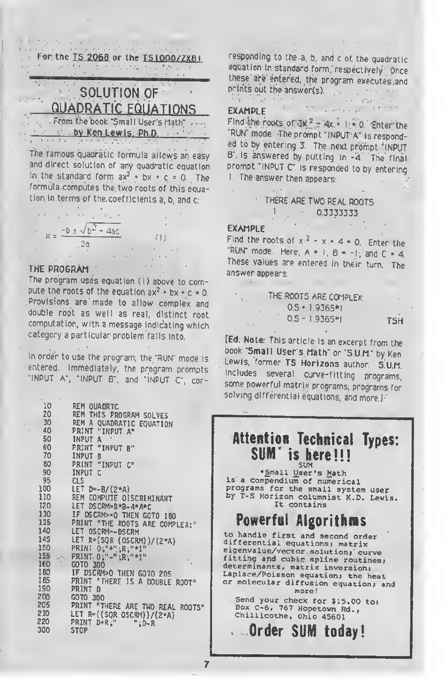For the  $\underline{15}$ . 2068 or the  $\underline{151000/2X81}$ 

### SOLUTION OF QUADRATIC EQUATIONS

From the book "Small User's Math" — by Ken Lewis. Ph.D.

The famous quadratic formula allows an easy and direct solution of any quadratic equation in the standard form  $ax^2 + bx + c = 0$ . The .formula computes the two roots of this equation in terms of the coefficients a, b, and c:

$$
x = \frac{-b \pm \sqrt{b^2 - 4ac}}{2a}
$$

THE PROGRAM

The program uses equation (I) above to compute the roots of the equation ax  $^2$  + bx + c = 0. Provisions are' made to allow complex and double root as well as real, distinct root computation, with <sup>a</sup> message indicating which category <sup>a</sup> particular problem falls into.

In order to use the program, the "RUN" mode is entered. Immediately, the program prompts "INPUT A", "INPUT B", and "INPUT C", cor-

10 20 30 40 50 60 70 80 90 95 100 110 120 130 135 140 145 150 155 160 180 185 190 200 205 210 220 300 REM QUADRTC REM THIS PROGRAM SOLVES REM A QUADRATIC EQUATION PRINT "INPUT A" INPUT A PRINT "INPUT B" INPUT B PRINT "INPUT C" INPUT C CLS LET  $D=-B/(2*A)$ REM COMPUTE DISCRIMINANT LET DSCRM=B\*B-4\*A\*C IF D\$CRM>\*0 THEN GOTO 180 PRINT "THE ROOTS ARE COMPLEX:" LET DSCRM=-DSCRM LET R=(SQR (DSCRM) )/(2\*A) PRINT D;"+";R;"\*I\* PRINT D;"-" ;R;"\*I" GOTO 300 IF DSCRM>0 THEN GOTO 205 PRINT "THERE IS A DOUBLE ROOT" PRINT D GOTO 300 PRINT "THERE ARE TWO REAL ROOTS" LET R=((SQR DSCRM))/(2\*A) PRINT D\*R;" ";D-R STOP

responding to the a, b, and <sup>c</sup> of. the quadratic equation in standard form, respectively Once these are entered, the program executes and prints out the answer(s). the stage of the con-

#### EXAMPLE

Find the roots of  $3k^2 - 4x + 1 = 0$ . Enter the "RUN" mode. The prompt "INPUT A" is responded to by entering 3. The next prompt "INPUT B" is answered by putting in -4. The final prompt "INPUT C" Is responded to by entering 1. The answer then appears:

THERE ARE TWO REAL ROOTS  $-0.33333333$ 

#### EXAMPLE

Find the roots of  $x^2 - x + 4 = 0$ . Enter the "RUN" mode. Here,  $A = 1$ ,  $B = -1$ , and  $C = 4$ . These values are entered in their turn. The answer appears:

| $\mathbf{L}$ . | THE ROOTS ARE COMPLEX: |            |
|----------------|------------------------|------------|
|                | $0.5 + 1.9365$ *I      |            |
|                | $0.5 - 1.9365 + 1$     | <b>TSH</b> |

[Ed. Note: This article is an excerpt from the book "Small User's Math" or "S.U.M" by Ken Lewis, former TS Horizons author. S.U.M. includes several curve-fitting programs, some powerful matrix programs, programs forsolving differential equations, and more.)

#### Attention Technical Types: SUM<sup>\*</sup> is here!!! SUM

•Small User's Math is a compendium of numerical programs for the small system user by T-S Horizon columnist K.D. Lewis. It contains

## Powerful Algorithms

to handle first and second order differential equations; matrix<br>eigenvalue/vector solution; curve fitting and cubic spline routines; determinants, matrix inversion; Laplace/Poisson equation; the heat or molecular diffusion equation; and more! Send your check for \$15.00 to:

Box C-6, 767 Hopetown Rd., Chillicothe, Ohio 45601

Order SUM today!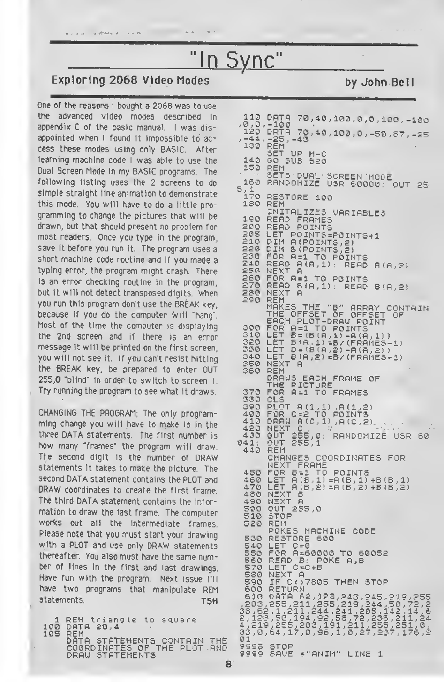## "In Sync"

### Exploring 2068 Video Modes by John Bell

accum advance and

One of the reasons I bought a 2068 was to use the advanced video modes described in appendix C of the basic manual. <sup>I</sup> was disappointed when <sup>l</sup> found it impossible to access these modes using only BASIC. After learning machine code <sup>I</sup> was able to use the Dual Screen Mode in my BASIC programs. The following listing uses the 2 screens to do simple straight line animation to demonstrate this mode. You will have to do a little programming to change the pictures that will be drawn, but that should present no problem for most readers. Once you type in the program, save it before you run it. The program uses a short machine code routine and if you made a typing error, the program might crash. There is an error checking routine in the program, but it will not detect transposed digits. When you run this program don't use the BREAK key, because if you do the computer will "hang". Most of the time the computer is displaying the 2nd screen and if there is an error message it will be printed on the first screen, you will not see it. If you can't resist hitting the BREAK key, be prepared to enter OUT 255,0 "blind" in order to switch to screen 1. Try running the program to see what it draws.

CHANGING THE PROGRAM, The only programming change you will have to make is in the three DATA statements. The first number is how many "frames" the program will draw. Tte second digit is the number of DRAW statements it takes to make the picture. The second DATA statement contains the PLOT and DRAW coordinates to create the first frame. The third DATA statement contains the information to draw the last frame. The computer works out all the intermediate frames. Please note that you must start your drawing with a PLOT and use only DRAW statements thereafter. You also must have the same number of lines in the first and last drawings. Have fun with the program. Next issue I'll have two programs that manipulate REM statements. T5H

```
1 REM triangle to square
100 DATA 20,4
105 REM
    DATA STATEMENTS CONTAIN THE
    COORDINATES OF THE PLOT AND
    DRAW STATEMENTS
```

```
70 > 4. 0 , 100 , 0 , 0 , 100, -100
, 0, 0, –100<br>120 DRTA 70,40,100,0, –50,87, –25<br>, –44, –25, –43
 -44, -25, -43<br>130 REM
           SET UP M-C
  140 GO SUB 520
  150 REM
SETS DUAL SCREEN MODE
lt.0 RANDOMIZE USR 60000 5,1
  170 RESTORE 100
130 REM
          INITALIZES UARIABLE5
 190 READ FRAMES
 200 READ POINTŠ<br>205 LET POINTS=<br>210 DIM A(POINT
                  POINTS=POINTS+1
  210 DIM A(POINTS,2)<br>220 DIM B(POINTS,2)
                                   POINTS
 220 DIM B(POINTS,2)<br>230 FOR A=1 TO POINTS<br>240 READ A(A,1): READ A(A,?)<br>250 READ A=1 TO POINTS<br>250 FOR A=1 TO POINTS<br>270 READ B(A,1): READ B(A,2)<br>230 NEXT A
 250 NEX<br>250 PERA<br>280 NEX<br>290 REM
          MAKES THE "B" ARRAY CONTAIN<br>THE OFFSET OF OFFSET OF<br>EACH PLOT-DRAW POINT
  300 FOR A =1 TO POINTS
  310 LET B= (B (A,1) -A (A,1) )<br>320 LET B (A,1) =B/ (FRAMES-1)<br>330 LET B= (B (A,2) -A (A,2) )<br>340 LET B (A,2) =B/ (FRAMES-1)<br>350 NEXT A
  350 NEXT<sup>-</sup><br>350 Rem
          DRAUS EACH FRAME OF
THE PICTURE
          LET B(A.1)-8/(FRAME3-1)<br>LET B=(B(A,2)-A(R.2))<br>LET B(A,2)=B/(FRAME3-1)
          LET
                   255,0: RANDOMIZE USR 60<br>255,1
  370 FOR A =1 TO FRAMES<br>330 CLS<br>390 PLOT A (1,1) ,A (1,2)<br>400 FOR C=2 TO POINTS
  410 DRAW A(C,1),A(C,2)<br>420 NEXT C
430 OUT 255,0: 041: OUT 255.1
  440 REM
           CHANGES COORDINATES FOR
           NEXT FRAME
  450 FOR B=1 TO POINTS
  460 LET A(B,1)=A(B,1)+B(B,1)
  470 LET A (B,2) sA (B ,2) +B (B,2) 430 NEXT B
  470 LET A(B)2<br>480 NEXT B<br>480 NEXT A<br>500 OUT 255,0
           STOP<br>REM
520 REM
33.0.
           POKES MACHINE CODE
  530 RESTORE 600
  540 LET C=0
  550 FOR A±60000 TO 60052<br><u>560 READ B: P</u>OKE A,B
  560 READ 8: P<br>560 READ 8: P<br>570 LET C=C+B<br>580 NEXT A
  530 NEXT A <sup>5</sup><br>590 IF C()7305 Then Stop<br>600 Return
   610 DATA 62,123,243,245,219,255
, 203, 255, 211, 255, 219, 244, 50,72,2<br>38,62,1,211, 244, 241, 205, 142, 14, 6<br>2, 123,5<u>0, 194,</u> 92,58,72, 233,211,24
4,219,255,203,191,211,255,251,0,<br>33,0,64,17,0,96,1,0,27,237,176,2<br>01
9998 STOP<br>9999 SAVE *"ANIM" LINE 1
                                                                     KT-ro
```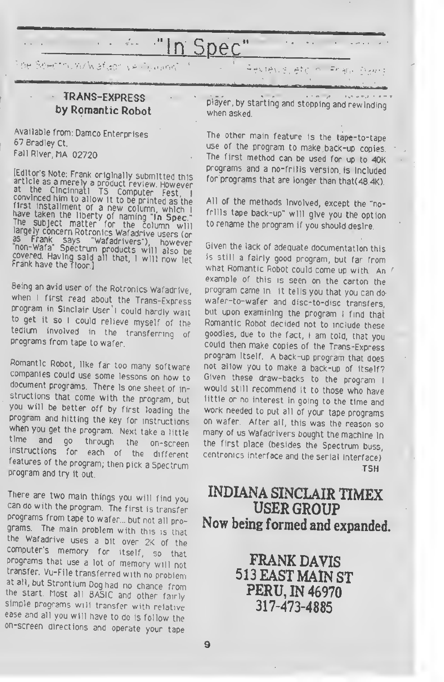## In Spec

de Selectric w/Wataon versioned

#### TRANS-EXPRESS by Romantic Robot

Available from: Damco Enterprises 67 Bradley Ct. Fall River, MA 02720

icuitor's Note: Frank originally submitted this<br>article as a merely a product review. However<br>at the Closenty a product review. However at the Cincinnati TS Computer Fest, I<br>convinced him to allow it to be printed as the convinced him to allow it to be printed as the<br>first installment of a new column, which i<br>have taken the li nave taken the liberty of naming "In Spec."<br>The subject matter for the column , largely concern Rotronics Wafadrive users (or  $\frac{1}{2}$  subject matter for the column will as Frank says "Wafadrivers"), however<br>"Don-Wafa" Says " non-wara" Spectrum products will also be<br>covered. Having said all that, I will now let<br>Frank have the floor.]

Being an avid user of the Rotronics Wafadrive, when <sup>1</sup> first read about the Trans-Express program in Sinclair User'l could hardly wait<br>to get it so I could relieve myself of the tedium involved in the transferring of programs from tape to wafer.

Romantic Robot, like far too many software document programs. There is one sheet of in-<br>structions that come with the program, but you will be better off by first loading the program and hitting the key for instructions when you get the program. Next take a little<br>time and go through the on-screen time and go through the on-screen instructions for each of the different features of the program, then pick <sup>a</sup> Spectrum program and try it out.

There are two main things you will find you can do with the program. The first is transfer programs from tape to wafer... but not all programs. The main problem with this is that the Wafadrive uses a bit over 2K of the<br>computer's memory for itself, so that programs that use a lot of memory will not transfer. Vu-File transferred with no problem at all, but Strontium Dog had no chance from the start. Most all BASIC and other fairly simple programs will transfer with relative ease and all you will have to do is follow the on-screen directions and operate your tape

player, by starting and stopping and rewinding when asked.

The other main feature is the tape-to-tape use of the program to make back-up copies. The first method can be used for up to 40K programs and <sup>a</sup> no-frills version is included for programs that are longer than that(48.4K).

All of the methods involved, except the "nofrills tape back-up" will give you the option to rename the program if you should desire.

Given the lack of adequate documentation this is still <sup>a</sup> fairly good program, but far from what Romantic Robot could come up with. An / example of this is seen on the carton the program came in. it tells you that you can do wafer-to-wafer and disc-to-disc transfers, but upon examining the program I find that Romantic Robot decided not to include these goodies, due to the fact, <sup>I</sup> am told, that you could then make copies of the Trans-Express program itself. A back-up program that does not allow you to make a back-up of itself? Given these draw-backs to the program <sup>I</sup> would still recommend it to those who have little or no interest in going to the time and work needed to put all of your tape programs<br>on wafer. After all, this was the reason so many of us Wafadrivers bought the machine in the first place (besides the Spectrum buss, centronics interface and the serial interface)' **TSH** 

### INDIANA SINCLAIR TIMEX USER GROUP Now being formed and expanded.

FRANK DAVIS <sup>513</sup> EAST MAIN ST PERU, IN 46970 317-473-4885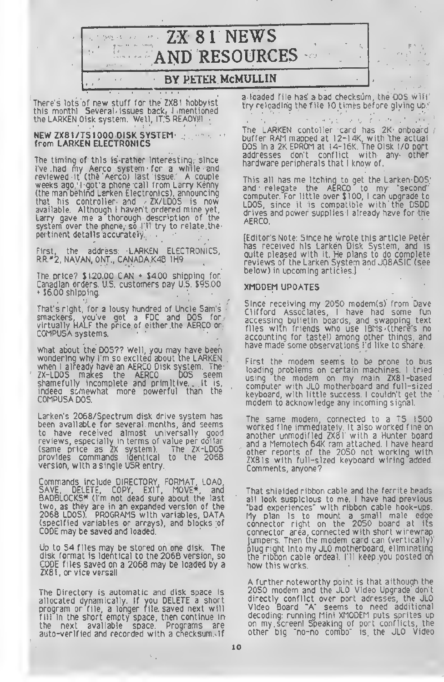ZX <sup>8</sup> <sup>1</sup> NEWS  $\rightarrow$   $\sigma$   $_{\odot}$ AND RESOURCES

#### BY PETEK McMULLIN

There's lots of new stuff for the ZX81 hobbyist this month! Several issues back, <sup>I</sup> mentioned the LARKEN Disk system. Well, IT'S READY!!!

the state of the first  $\begin{cases} \eta_{\text{in}}(0)=0\\ 0 \end{cases}$ 

#### NEW ZX81/TS1000 DISK SYSTEM from LARKEN ELECTRONICS

The timing of this is rather interesting, since I've had my Aerco system for a while and reviewed it (the Aerco) last issue. A couple weeks ago, I got a phone call from Larry Kenny (the man behind Larken Electronics), announcing that his controller and ZX/LDOS is now available. Although <sup>I</sup> haven't ordered mine yet, Larry gave me <sup>a</sup> thorough description of the system over the phone, so I'll try to relate the pertinent details accurately.

the address: LARKEN ELECTRONICS, First, the address: LARKEN ELEL<br>RR \*2, NAVAN, ONT., CANADA K4B 1H9

The price?  $$120.00$  CAN  $*$  \$4.00 shipping for. Canadian orders. U.S. customers pay U.S. \$95.00  $*$  \$6.00 shipping.

That's right, for <sup>a</sup> lousy hundred of Uncle Sam <sup>s</sup> smackers, you've got a FDC and DOS for virtually HALF the price of either the AERCO or COMPUSA systems.

What about the DOS?? Well, you may have been wondering why I'm so excited about the LARKEN when <sup>l</sup> already have an AERCO Disk system. The ZX-LDOS makes the AERCO DOS seem shamefully incomplete and primitive... It is, indeed somewhat more powerful than the COMPUSA DOS.

Larken's 2068/Spectrum disk drive system has been availabLe for several months, and seems to have received almost universally good reviews, especially in terms of value per dollar (same price as ZX system). The ZX-LDOS provides commands identical to the 2068 version, with a single USR entry.

Commands include DIRECTORY, FORMAT, LOAD, SAVE, DELETE, COPY, EXIT, MOVE\*, and BADBLOCKS\* (I'm not dead sure about the last two, as they are in an expanded version of the 2068 LDOS). PROGRAMS with variables, DATA (specified variables or arrays), and blocks of CODE may be saved and loaded

Up to 54 files may be stored on one disk. The disk format is identical to the 2068 version, so CODE files saved on a 2068 may be loaded by <sup>a</sup> ZX81, or vice versall

The Directory is automatic and disk space is allocated dynamically. If you DELETE a short program or file, a longer file, saved next will fill in the short empty space, then continue in the next available space. Programs are auto-verified and recorded with a checksum, if

<sup>a</sup> loaded file has a bad checksum, the DOS will try reloading the file 10 times before giving up

 $\mathbf{r}$  .

回復に えも かいや The LARKEN contoller card has 2K onboard / buffer RAM mapped at I2-14K, with the actual DOS in <sup>a</sup> 2K EPROM at I4-16K. The Disk I/O port addresses don't conflict with any other hardware peripherals that <sup>I</sup> know of.

This all has me itching to get the Larken DOS and relegate the AERCO to my "second" computer. For little over \$100, I can upgrade to LDOS, since it is compatible with the DSDD drives and power supplies <sup>I</sup> already have for the AERCO.

(Editor's Note: Since he wrote this article Peter has received his Larken Disk System, and is quite pleased with it. He plans to do complete reviews of the Larken System and JOBASIC (see below) in upcoming articles.)

#### XMODEM UPDATES

Since receiving my 2050 modem(s) from Dave Clifford Associates, <sup>I</sup> have had some fun accessing builetin boards, and swapping text files with friends who use IBMs (there's no accounting for taste!) among other things, and have made some observations I'd like to snare.

First the modem seems to be prone to bus loading problems on certain machines. <sup>I</sup> tried using the modem on my main ZX8l-based computer with JLO motherboard and full-sized keyboard, with little success. <sup>I</sup> couldn't get the modem to acknowledge any incoming signal.

The same modem, connected to a T5 1500 worked fine immediately. It also worked fine on another unmodified ZX8I with a Hunter board and a Memotech 64K ram attached. <sup>I</sup> have heard other reports of the 2050 not working with ZX8ls with full-sized keyboard wiring added. Comments, anyone?

That shielded ribbon cable and the ferrite beads all look suspicious to me. I have had previous "bad experiences" with ribbon cable hook-ups. My plan is to mount a small male edge connector right on the 2050 board at its connector area, connected with short wirewrap jumpers. Then the modem card can (vertically) plug right into my JLO motherboard, eliminating the ribbon cable ordeal. I'll keep you posted on how this works.

A further noteworthy point is that although the 2050 modem and the JLO Video Upgrade' don't directly conflict over port adresses, the JLO Video Board "A" seems to need additional decoding: running Mini XMODEM puts sprites up on my screen! Speaking of port conflicts, the other big 'no-no combo" is the JLO Video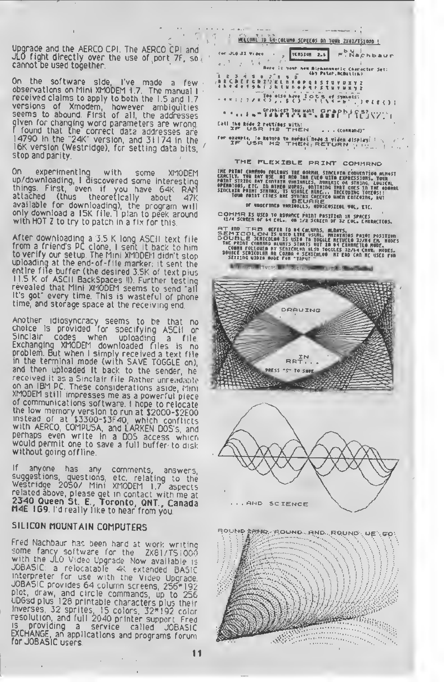Upgrade and the AERCO CPI. The AERCO CPI and JLO fight directly over the use of port 7F, so cannot be used together.

On the software side, I've made <sup>a</sup> few observations on Mini XMODEM 1.7 The manual <sup>I</sup> received claims to apply to both the 1.5 and 1.7 versions of Xmodem, however ambiguities seems to abound. First of all, the addresses given for changing word parameters are wronq <sup>I</sup> found that the correct data addresses are <sup>14790</sup> in the "24K" version, and <sup>31174</sup> in the 16K version (Westridge), for setting data bits, stop and parity.

On experimenting with some XMODEM up/downloading, <sup>I</sup> discovered some interesting things. First, even if you have 64K RAM attached (thus theoretically about 47K available for downloading), the program will only download a <sup>1</sup> 5K file <sup>I</sup> plan to peek around with HOT Z to try to patch in <sup>a</sup> fix for this

After downloading <sup>a</sup> 3.5 <sup>K</sup> long ASCII text file from <sup>a</sup> friend's Pc clone, <sup>I</sup> sent it back to him to verify our setup. The Mini XMODEM didn't stop uploading at the end-of-file marker: it sent the entire file buffer (the desired 3 5K of text plus <sup>1</sup> 1.5 K of ASCII Backspaces II). Further testing revealed that Mini XMODEM seems to send "all It's got" every time. This is wasteful of phone time, and storage space at the receiving end

Another idiosyncracy seems to be that no choice is provided for specifying ASCII or Exchanging XMODEM downloaded files is no problem. But when <sup>I</sup> simply received a text file in the terminal mode (with SAVE TOGGLE on), and then uploaded it back to the sender, he received it as a Sinclair file Rather unreadable on an IBM PC. These considerations aside, Mini<br>XMODEM still impresses me as a powerful piece of communications software. <sup>I</sup> hope to relocate the low memory version to run at I2000-J2E00 instead of at \$3300-\$3F40, which conflicts with AERCO, COMPUSA, and LARKEN DOS's, and perhaps even write in a DOS access which would permit one to save <sup>a</sup> full buffer to disk without going offline

If anyone has any comments, answers suggestions, questions, etc. relating to the westridge 2050/ Mini XMODEM <sup>l</sup> <sup>7</sup> aspects related above, please get in contact with me at 2340 Queen St. E., Toronto, QNT., Canada .<br>M4E 1G9. I d really like to hear from you.

#### SILICON MOUNTAIN COMPUTERS

Fred Nachbaur has been hard at work writing some fancy software for the ZXSl/TSiOGo with the JLO Video Upgrade Now available is<br>JOBASIC: a relocatable 4K extended BASIC interpreter for use with the Video Upgrade JOBASIC provides 64 column screens, 256\*192 plot, draw, and circle commands, up to 256 UDGsd plus 128 printable characters plus their inverses, 32 sprites, <sup>15</sup> colors, 32\*192 color resolution, and full 2040 printer support Fred is providing a service called JOBASIC.<br>EXCHANGE on analisations called JOBASIC. Exchange, an applications and programs forum.<br>for JOBASIC users.



r



PRESS "S" TO SAY

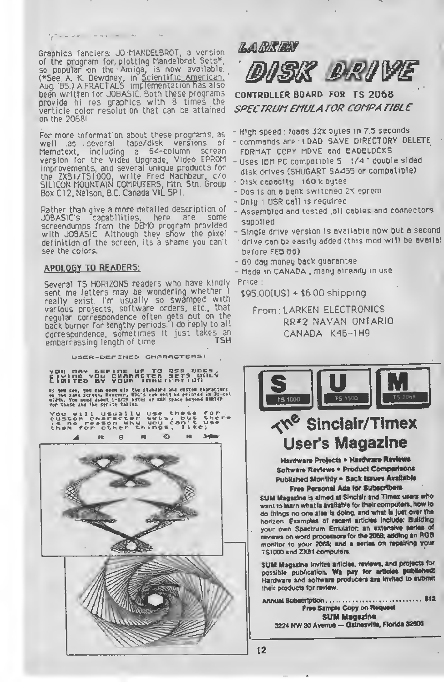Graphics fanciers: JO-MANDELBROT, a version of the program for plotting Mandelbrot Sets\*, so popular on the Amiga, is now available (\*See A. K. Dewdney, in Scientific American. Aug. '85.) A FRACTALS implementation has also been written for JOBA51C. Both these programs provide hi res graphics with 8 times the verticle color resolution that can be attained on the 20681

 $\frac{1}{2} \left[ \begin{array}{ccc} 0 & 0 & 0 \\ 0 & 0 & 0 \\ 0 & 0 & 0 \end{array} \right] = \left[ \begin{array}{ccc} 0 & 0 & 0 \\ 0 & 0 & 0 \\ 0 & 0 & 0 \end{array} \right] = \left[ \begin{array}{ccc} 0 & 0 & 0 \\ 0 & 0 & 0 \\ 0 & 0 & 0 \end{array} \right] = \left[ \begin{array}{ccc} 0 & 0 & 0 \\ 0 & 0 & 0 \\ 0 & 0 & 0 \end{array} \right] = \left[ \begin{array}{ccc} 0 & 0 & 0 \\ 0 & 0 & 0 \\ 0 & 0$ 

For more information about these programs, as well as several tape/disk versions of Memotext, including <sup>a</sup> 64-column screen version for the Video Upgrade, Video EPROM improvements, and several unique products for the ZX8I/TS1000, write Fred Nachbaur, c/o SILICON MOUNTAIN COMPUTERS, Mtn. Stn. Group Box Cl 2. Nelson, BC Canada V1L 5P1.

Rather than give a more detailed description of JOBASIC's capabilities, here are some screendumps from the DEMO program provided with JOBASIC. Although they show the pixel definition of the screen, its <sup>a</sup> shame you can't see the colors.

#### **APOLOGY TO READERS:**

Several TS HORIZONS readers who have kindly sent me letters may be wondering whether really exist I'm usually so swamped with various projects, software orders, etc., that regular correspondence often gets put on the back burner for lengthy periods. <sup>I</sup> do reply to al: correspondence, sometimes it just takes an embarrassing length of time TSH

U3ER-OCF INCD CMRRRCTERS!

yOU MAY DEFINE UP TO 258 UDGS,<br>Civing You chaartter sets orly<br>Limited by your imRefnation

it m m, 1« c\* Ǵǥ >i> tt\* m <«>'•« <sup>m</sup> >»< serin, R»m\*«r, niw's mi k\* rr.atrr .« »-<<sup>I</sup> liltk. yvt KM Jknt l-l/J\* sites •« MR \*»\*• MRIir <«r tMst Ml tM srritr tins.

You will usually use these for.<br>custom character sets, but there<br>is no reason why you can't use them for other things, like;



**LARKEN DRIVE** 

CONTROLLER BOARD FOR TS 2068 SPECTRUMEMULA TOR COMPA T/BLE

- High speed : loads 32k bytes in 7.5 seconds
- commands are : LDAD SAVE DIRECTORY DELETE FORMAT COPY MOVE and BADBLOCKS
- Uses IBM PC compatible 5 1/4 " double sided disk drives (SHUGART SA455 or compatible)
- Disk capacity 160 k bytes
- Dos is on <sup>a</sup> bank switched 2K eprom
- Only <sup>1</sup> USR call is required
- Assembled and tested .all cables and connectors supplied
- Single drive version is available now but <sup>a</sup> second drive can be easily added (this mod will be availal before FEB 86)
- 60 day money back guarantee

- Made in Canada . many already in use Price:

\$95 OO(US) + \$6 00 shipping

From LARKEN ELECTRONICS RR\*2 NAVAN ONTARIO CANADA K4B-1H9



## **K<sup>e</sup> Sinclair/Timex** User's Magazine

Hardware Projects · Hardware Reviews Software Reviews . Product Comparisons Published Monthly . Back Issues Available Free Personal Ads for Subscribers

SUM Magazine it aimed et Sinclair and Timex users who want to learn what is available for their computers, how to do things no one alse is doing, and what is just over the horizon. Examples of recent articles include: Building your own Spectrum Emulator; an extensive series of reviews on word processors for the 2068; adding an RGB monitor to your 2068; and a series on repairing your TS1000 and ZX81 computers.

SUM Magazine invites articles, reviews, and projects for possible publication. Wa pay for articles published! Hardware and software producers are invited to aubmit their products for review.

Annual >12**SUM Magazine** 3224 NW 30 Avenue - Gainesville, Florida 32606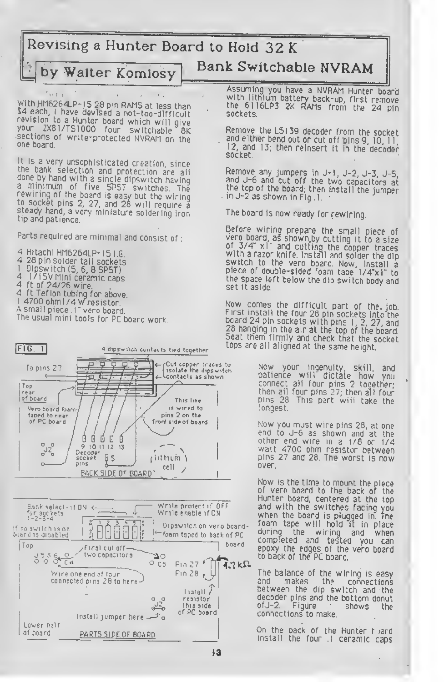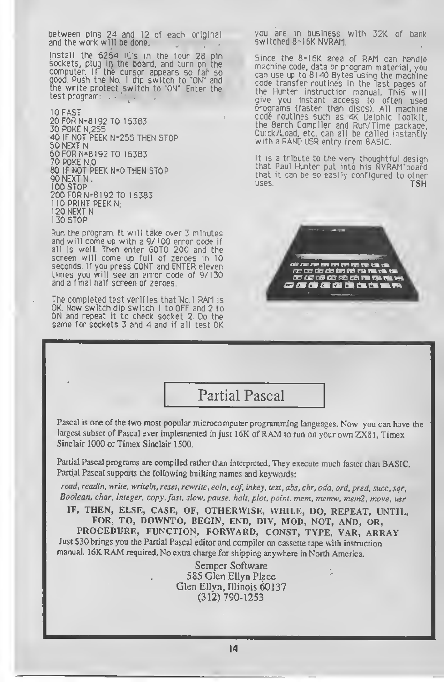between pins 24 and 12 of each original and the work will be done.

Install the 6264 IC's in the four 28 pin sockets, plug in the board, and turn on the computer If the cursor appears so far so good. Push the No. <sup>I</sup> dip switch to "ON" and the write protect switch to "ON" Enter the test program:  $\ddots$ 

10 FAST 20 FOR N-8192 TO 16383 30 POKE N,255 40 IF NOT PEEK N-255 THEN STOP 50 NEXT N 60 FOR N-8192 TO 16383 70 POKE N,0 80 IF NOT PEEK N-0 THEN STOP 90 NEXT N 100 STOP 200 FOR N=8192 TO 16383 <sup>I</sup> 10 PRINT PEEK N, <sup>1</sup> 20 NEXT N 130 STOP

Run the program. It will take over 3 minutes and will come up with <sup>a</sup> 9/100 error code if all is well. Then enter GOTO 200 and the screen will come up full of zeroes in 10 seconds. If you press CONT and ENTER eleven times you will see an error code of 9/130 and a final half screen of zeroes.

The completed test verifies that No. <sup>I</sup> RAM is OK Now switch dip switch <sup>1</sup> to OFF and <sup>2</sup> to ON and repeat it to check socket 2. Do the same for sockets 3 and 4 and if all test OK you are in business with 32K of bank switched 8-16K NVRAM.

Since the 8-I6K area of RAM can handle machine code, data or program material, you can use up to 8140 Bytes using the machine code transfer routines in the last pages of the Hunter instruction manual. This will give you instant access to often used programs (faster than discs). All machine code routines such as 4K Delphic Toolkit, the Berch Compiler and Run/Time package, Quick/Load, etc. can all be called instantly with a RAND USR entry from BASIC.

It is a tribute to the very thoughtful desiqn that Paul Hunter put into his NVRAM board that it can be so easily configured to other<br>uses. TSH uses. TSH



Partial Pascal

Pascal is one of the two most popular microcomputer programming languages. Now you can have the largest subset of Pascal ever implemented in just 16K of RAM to run on your own ZX81, Timex Sinclair 1000 or Timex Sinclair 1500.

Partial Pascal programs are compiled rather than interpreted. They execute much faster than BASIC. Partial Pascal supports the following builting names and keywords:

read, readln, write, writeln, reset, rewrite, eoln, eof, inkey, text, abs, chr, odd, ord, pred, succ, sqr, Boolean, char, integer, copy, fast, slow, pause, halt, plot, point, mem, memw, mem2, move, usr

IF, THEN, ELSE, CASE, OF, OTHERWISE, WHILE, DO, REPEAT, UNTIL, FOR, TO, DOWNTO, BEGIN, END, DIV, MOD, NOT, AND, OR, PROCEDURE, FUNCTION, FORWARD, CONST, TYPE, VAR, ARRAY Just \$30 brings you the Partial Pascal editor and compiler on cassette tape with instruction manual. 16K RAM required. No extra charge for shipping anywhere in North America.

> Semper Software 585 Glen Ellyn Place Glen Ellyn, Illinois 60137 (312) 790-1253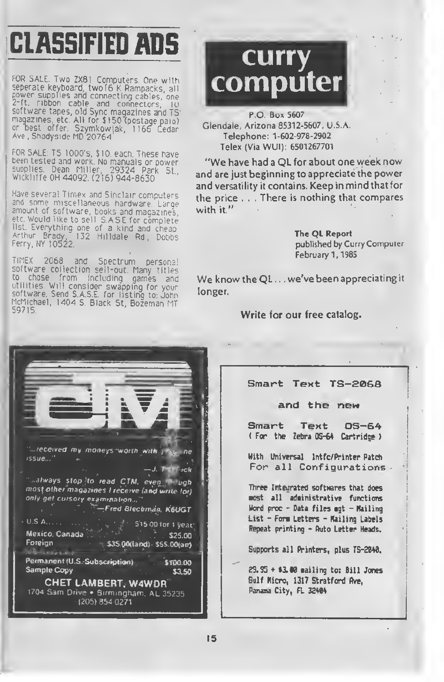# CLASSIFIED ADS

FOR SALE. Two ZX81 Computers. One with seperate keyboard, twof6 <sup>K</sup> Rampacks, all power supplies and connecting cables, one 2-ft. ribbon cable and connectors, lo software tapes, old Sync magazines and TS magazines, etc. All for \$ 150 (postage paid) or best offer: Szymkow{ak, 1166 Cedar<br>Ave,Shadyside MD 20764

FOR SALE: TS 1000's, \$10, each. These have been tested and work No manuals or power supplies. Dean Miller, 29324 Park St., Wickliffe OH 44092 (216) 944-8630

Have several Timex and Sinclair computers and some miscellaneous nardware Large amount of software, books and magazines, etc Would like to sell 5 ASE for complete list Everything one of a kind and cheap Arthur Brady, 132 Hilldale Rd, Dobbs<br>Ferry,NY-10522.

TIMEX 2068 and Spectrum persona! software collection sell-out. Many titles to chose from including games and utilities Will consider swapping for your software. Send S.A.S.E. for listing to: John McMichael, 1404 S. Black St, Bozeman MT



P.O. Box 5607 Glendale, Arizona 85312-5607, U.S.A. Telephone: 1-602-978-2902 Telex (Via WUI): 6501267701

"We have had <sup>a</sup> QL for about one week now and are just beginning to appreciate the power and versatility it contains. Keep in mind that for the price . . . There is nothing that compares with it."

> The QL Report published by Curry Computer February 1, 1985

We know the QL . . . we've been appreciating it longer.

Write for our free catalog.



Smart Text TS—£068

and the new

Smart Text OS—6 ( For the Zebra OS-64 Cartridge )

With Universal Intfc/Printer Patch For all Configurations

Three Integrated softwares that does most all adeinistrative functions Word proc - Data files egt - Mailing List - Fore Letters - Hailing Labels Repeat printing - Auto Letter Heads.

Supports all Printers, plus TS-2848.

29.95 + \*3.80 sailing to: Bill Jones Gulf Hicro, 1317 Stratford Ave, Panama City, FL 32484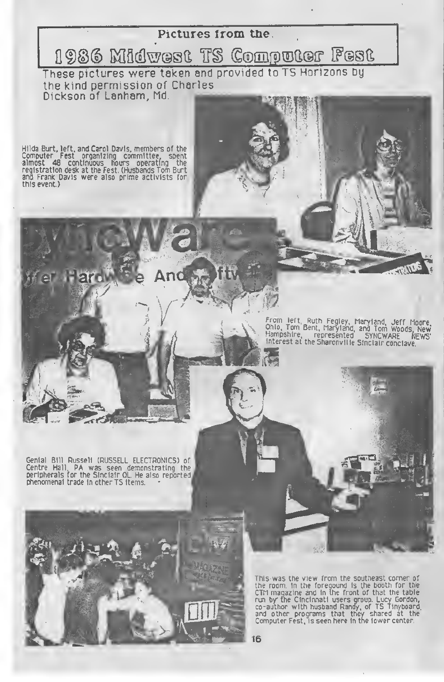## Pictures from the 1986 Midwest TS Computer Fest

These pictures were taken and provided to TS Horizons Dy the kind permission of Charles Dickson of Lanham, Md.

Hilda Burt, left, and Carol Davis, members of the Computer Fest organizing committee, spent almost 48 continuous hours operating the<br>registration.desk.at.the.Fest.(Husbands.Tom.Burt<br>and Frank Davis were also prime.activists.for<br>this.event) this event.)

**Hetto** 

Genial Bill Russell (RUSSELL ELECTRONICS) of Centre Hall, PA was seen demonstrating the peripherals for the Sinclair QL He also reported

phenomenal trade in other TS items.

From left, Ruth Fegley, Maryland, Jeff Moore,<br>Ohio, Tom Bent, Maryland, and Tom Woods, New<br>Hampshire, represented SYNCWARE NEWS'<br>Interest at the Sharonville Sinclair conclave.

This was the view from the southeast corner of the room, in the foregound is the booth for the CTM magazine and in the front of that the table run by the Cincinnati users group. Lucy Gordon, co-author with husband Randy, of TS Tinyboard and other programs that they shared at the Computer Fest, is seen here in the lower center.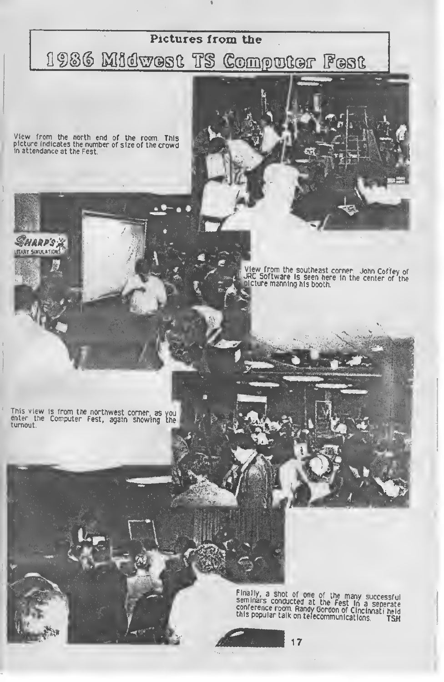#### Pictures from the

## 1986 Midwest TS Computer Fest

View from the north end of the room. This<br>picture indicates the number of size of the crowd<br>in attendance at the Fest.

**HARP'S S TARY SIMIN ATION** 

View from the southeast corner. John Coffey of<br>JRC Software is seen here in the center of the<br>inicture manning his booth.

This view is from the northwest corner, as you<br>enter the Computer Fest, again showing the<br>turnout.

Finally, a shot of one of the many successful<br>seminars conducted at the Fest In a seperate<br>conference room. Randy Gordon of Cincinnati held<br>this popular talk on telecommunications. TSH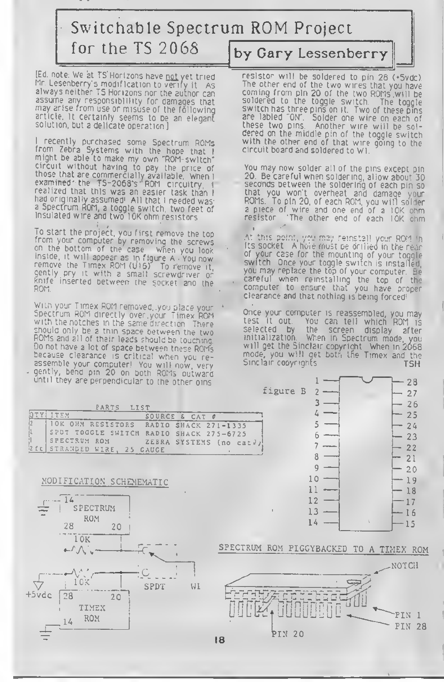### Switchable Spectrum ROM Project for the TS 2068 by Gary Lessenberry

[Ed. note: We at TS'Horizons have not yet tried<br>Mr. Lesenberry's modification to verify it. As assume any responsibility for damages that may arise from use or misuse of the following article It certainly seems to oe an elegant solution, but a delicate operation ]

<sup>I</sup> recently purchased some Spectrum ROMs from Zebra Systems with the hope that <sup>I</sup> might be able to make my own "ROM-switch" circuit without having to pay the price of<br>those that are commercially available. When I<br>examined the TS-2068's ROM circuitry, i<br>realized that this was an easier task than I<br>had originally assumed' All that I needed was realized that this was an easier task than I had originally assumed! All that I needed was a Spectrum ROM, a toggle switch, two feet of insulated wire and two IOK ohm resistors

To start the project, you first remove the top from your computer by removing the screws on the bottom of the case when you look inside, it will appear as in figure A You now remove the Timex ROM (U16) To remove it,<br>gently pry it with a small screwdriver or knife inserted between the socket and the Kun

With your Timex ROM removed, you place your Spectrum ROM directly over your Timex ROM with the notches in the same direction There should only be a thin space between the two<br>ROMs and all of their leads should be touching.<br>Do not have a lot of space between tnese ROMs because clearance is critical when you re- assemble your computer! You will now very gently, bend pin 20 on both ROMs outward until they are perpendicular to the other pins

resistor will be soldered to pin 28 (\*5700). The other end of the two wires that you have coming from pin 20 of the two ROMs will be soldered to the toggle switch. switch has three pins on it. Two of these pins are labled "ON". Solder one wire on each of<br>these two pins, Another wire will be soldered on the middle pin of the toggle switch with the other end of that wire going to the circuit board and soldered to Wl

You may now solder all of the pins except pin 20 Be careful when soldering, allow about 30 seconds between the soldering of each pin so that you won't overheat and damage your ROMs. To pin 20, of each ROM, you will solder <sup>a</sup> piece of wire and one end of <sup>a</sup> 10K ohm resistor The other end of each <sup>I</sup> OK ohm ٠.

At this point, you, may reinstall your ROM in Its socket A hoie must oe drilled in the rear of your case for the mounting of your toggle switch Once your toggle switch is installed, you may replace the top of your computer. Be careful when reinstalling the top of the computer to ensure that you have proper clearance and that nothing is being forced!

Once your computer is reassembled, you may test it out You can tell which ROM is selected by the screen display after<br>initialization. When in Spectrum mode you When in Spectrum mode, you will get the Sinclair copyright When in 2068 mode, you will get both tne Timex and the Sinclair copyrights TSH







#### SPECTRUM ROM PIGGYBACKED TO A TIMEX ROM

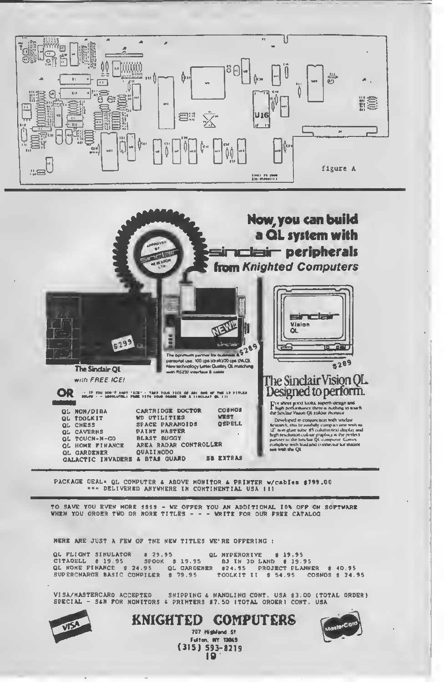



PACKAGE DEAL= QL COMPUTER & ABOVE MONITOR & PRINTER w/cabies \$799.00

TO SAVE YOU EVEN MORE \$\$\$\$ - WE OFFER YOU AN ADDITIONAL ION OFF ON SOFTWARE WHEN YOU ORDER TWO OR NORE TITLES - - - WRITE FOR OUR FREE CATALOG

NERE ARE JUST A FEW OF THE NEW TITLES WE'RE OFFERING :

GL NYPERORIVE \$19.95<br>CITADELL \$19.95 SPOOK \$19.95 BJ IN JD LAND \$19.95<br>QL NOME FINANCE \$24.95 QL GAROENER \$24.95 PROJECT PLANNER<br>SUPERCNARGE BASIC COMPILER \$79.95 TOOLKIT II \$54.95 COSM  $$40.95$ COSNOS \$ 24.95

VI SA/MASTERCARO ACCEPTEO VISA/MASTERCARO ACCEPTEO SMIPPING & NANOLING CONT. USA \$3.00 (TOTAL ORDER)<br>SPECIAL - S&N FOR NONITORS & PRIMTERS #7.50 ITOTAL ORDERI CONT. USA



**KNIGHTED COMPUTERS** 707 Highland St Fulton, NY 13065

 $(315)$  593-8219  $\overline{19}$ 

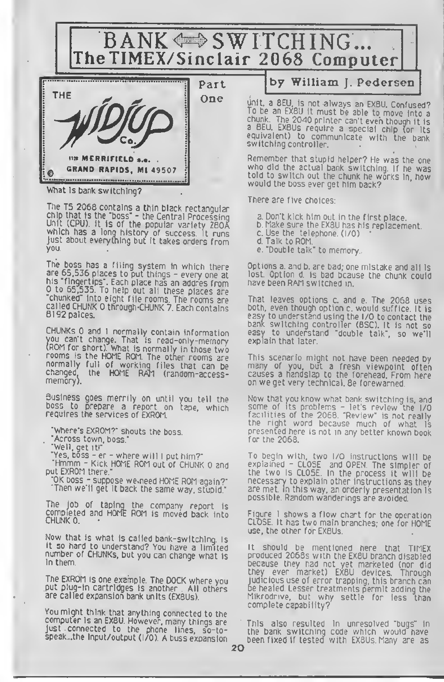BANK  $\Leftrightarrow$  SWITCHING... The TIMEX/Sinclair 2068 Computer



What is bank switching?

The TS 2068 contains <sup>a</sup> thin black rectangular chip that Is the 'boss' - the Central Processing Unit (CPU). It is of the popular variety  $280\text{\AA}$ which has <sup>a</sup> long history of success, it runs Unit (CPU) it is of the popular variety ZBOA which has a long history or success. It runs<br>Just about everything but it takes orders from you.

The boss has a filing system in which there<br>are 65,536 places to put things - every one at are 65,536 places to put things - every one at<br>his "fingertips". Each place has an addres from <sup>0</sup> to 65,535. To help out all these places are "chunked" into eight file rooms. The rooms are called CHUNK 0 through-CHUNK 7. Each contains 8192 palces.

CHUNKS 0 and <sup>1</sup> normally contain information you can't change. That is read-only-memory (ROM for short). What is normally in those two rooms is the HOME ROM. The other rooms are normally full of working files that can be changed, the HOME RAM (random-accesschanged<br>memory).

Business goes merrily on until you tell the boss to prepare a report on tape, which requires the services of EXROM.

"Where's EXROM?" shouts the boss

"Across town, boss."

"Well, get it!"

"Yes, boss - er - where will <sup>I</sup> put him?"

"Hmmm - Kick HOME ROM out of CHUNK <sup>0</sup> and put EXROM there."

"OK boss - suppose we.need HOME ROM again?" Then we'll get it back the same way, stupid."

The job of taping the company report is completed and HOME ROM is moved back into

Now that Is what is called bank-switching. Is it so hard to understand? You have a limited number of CHUNKS, but you can chanqe what is 3 in them.

The EXROM is one example. The DOCK where you put plug-in cartridges is another All others are called expansion bank units (EXBUs).

You might think that anything connected to the computer is an EXBU. However, many things are just connected to the phone lines, so-tospeak...the input/output (I/O). A buss expansion by William J. Pedersen

unit, <sup>a</sup> BEU, is not always an EXBU. Confused? To be an EXBU it must be able to move into a chunk. The 2040 printer can't even though it is<br>a BEU. EXBUs require a special chip (or its equivalent) to communicate with the bank

Remember that stupid helper? He was the one who did the actual bank switching. If he was told to switch out the chunk he works in, how would the boss ever get him back?

There are five choices:

a. Don't kick him out in the first place.

- b. Make sure the EXBU has his replacement.
- c. Use the telephone. (I/O)
- d. Talk to ROM.
- e. 'Double talk' to memory.

Options a. and b. are bad; one mistake and all is lost. Option d. is bad bcause the chunk could have been RAM switched in.

That leaves options c. and e. The 2068 uses easy to understand using the I/O to contact the bank switching controller (BSC). It is not so easy to understand 'double talk', so we'll explain that later.

This scenario might not have been needed by many of you, but <sup>a</sup> fresh viewpoint often causes a handslap to the forehead. From here on we get very technical. Be forewarned.

Now that you know what bank switching is, and<br>some of its problems - let's review the I/O facilities of the 2068. "Review" is not really the right word because much of what is presented here is not in any better known book for the 2068.

To begin with, two I/O instructions will be explained - CLOSE and OPEN. The simpler of the two is CLOSE. In the process It will be necessary to explain other instructions as they are met. In this way, an orderly presentation is possible Random wanderings are avoided.

Figure <sup>I</sup> shows <sup>a</sup> flow chart for the operation CLOSE It has two main branches, one for HOME use, the other for EXBUs.

It should be mentioned here that TIMEX produced 2068s with the EXBU branch disabled because they had not yet marketed (nor did they ever market) EXBU devices. Through judicious use of error trapping, this branch can be healed. Lesser treatments permit adding the Mikrodrive, but why settle for less than complete capability?

This also resulted in unresolved "bugs" in the bank switching code which would have been fixed if tested with EXBUs. Many are as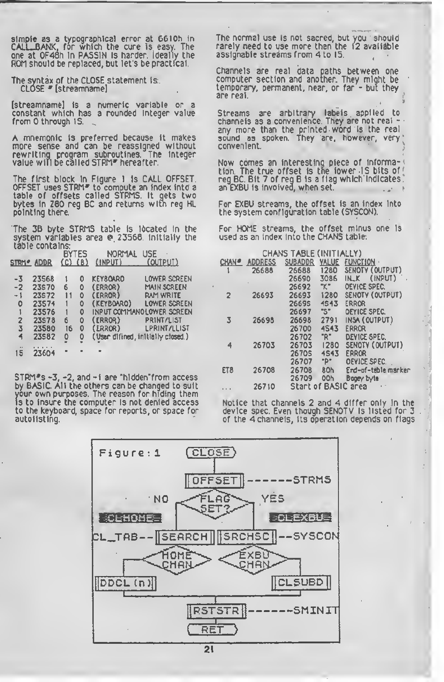simple as a typographical error at 6610h in CALL-BANK, for which the cure Is easy. The one at 0F48h In PASSIN Is harder. Ideally the ROM should be replaced, but let's be practical.

The syntax of the CLOSE statement is: CLOSE \* [streamname]

(streamname] Is a numeric variable or a constant which has a rounded integer value from 0 through 15.

A mnemonic Is preferred because It makes more sense and can be reassigned without rewriting program subroutines. The Integer value will be called STRM\* hereafter.

The first block In Figure <sup>1</sup> is CALL OFFSET. OFFSET uses STRM\* to compute an Index Into <sup>a</sup> table of offsets called SiRMS. It gets two bytes In Z80 reg BC and returns with reg HL pointing there.

The 38 byte STRMS table is Ideated In the system variables area @ 23568. Initially the table contains:

|                            |                   | BYTES       |   | NORMAL                            | USE                       |
|----------------------------|-------------------|-------------|---|-----------------------------------|---------------------------|
|                            | <b>STRM® ADDR</b> | $(C)$ $(B)$ |   | (INPUT) (OUTPUT)                  |                           |
| -3                         | 23568             |             | ٥ | KEY80ARO                          | Lower Screen              |
| $-2$                       | 23570             | б           | 0 | (ERROR)                           | <b>MAIN SCREEN</b>        |
| $-1$                       | 23572             | 11          | ٥ | (ERROR)                           | <b>RAM WRITE</b>          |
| ٥                          | 23574             |             | ٥ | (KEYBOARO)                        | LOWER SCREEN              |
| 1                          | 23576             |             | ٥ |                                   | INPUT COMMANOLOWER SCREEN |
| 2                          | 23578             | 6           | ٥ | (ERROR)                           | PRINT/LIST                |
| 3                          | 23580             | 16          | ٥ | (ERROR)                           | <b>LPRINT/LLIST</b>       |
| 4                          | 23582             | ٥           | ٥ | (User difined, initially closed.) |                           |
| $\ddot{\phantom{a}}$<br>15 | 23604             |             |   |                                   |                           |

STRM\*s -3, -2, and -1 are "htdden-from access by BASIC. All the others can be changed to suit your own purposes. The reason for hiding them is to Insure the computer is not denied access to the keyboard, space for reports, or space for autolisting.

The normal use Is not sacred, but you should rarely need to use more than the 12 available assignable streams from 4 to 15.

Channels are real data paths between one computer section and another. They might be temporary, permanent, near, or far - but they are real.

Streams are arbitrary labels applied to<br>channels as a convenience. They are not real + any more than the printed word Is the real sound as spoken. They are, however, very convenient.

Now comes an Interesting piece of Information. The true offset Is tne lower -15 bits of  $\mathop{\sf reg}\nolimits_{{\mathsf E}}$ BC. Bit 7 of  $\mathop{\sf reg}\nolimits_{{\mathsf B}}$  is a flag which indicates. an EXBU Is Involved, when set.

For EXBU streams, the offset Is an Index Into the system configuration table (SYSCON).

For HOME streams, the offset minus one Is used as an Index Into the CHANS table:

| CHANS TABLE (INITIALLY) |                |                     |       |                     |  |  |
|-------------------------|----------------|---------------------|-------|---------------------|--|--|
| CHAN <sup>®</sup>       | <b>ADDRESS</b> | <b>SUBADDR</b>      | YALUE | <b>FUNCTION</b>     |  |  |
|                         | 26688          | 26688               | 1280  | SENOTY (OUTPUT)     |  |  |
|                         |                | 26690               | 3086  | (INPUT)<br>INLK.    |  |  |
|                         |                | 26692               | "K"   | <b>OEVICE SPEC.</b> |  |  |
| $\overline{2}$          | 26693          | 26693               | 1280  | SENOTY (OUTPUT)     |  |  |
|                         |                | 26695               | 4543  | <b>ERROR</b>        |  |  |
|                         |                | 26697               | "S"   | OEYICE SPEC.        |  |  |
| 3                       | 26698          | 26698               | 2791  | INSA (OUTPUT)       |  |  |
|                         |                | 26700               | 4543  | ERROR               |  |  |
|                         |                | 26702               | "R"   | DEVICE SPEC.        |  |  |
| 4                       | 26703          | 26703               | 1280  | SENOTY (OUTPUT)     |  |  |
|                         |                | 2670\$              | 4543  | ERROR               |  |  |
|                         |                | 26707               | "P"   | OEYICE SPEC.        |  |  |
| ETB                     | 26708          | 26708               | 80h   | End-of-table marker |  |  |
|                         |                | 26709               | OOh   | Bogey byte          |  |  |
|                         | 26710          | Start of BASIC area |       |                     |  |  |

Notice that channels 2 and 4 differ only in the device spec. Even though SENDTV is listed for 3 of the 4 channels, its operation depends on flags

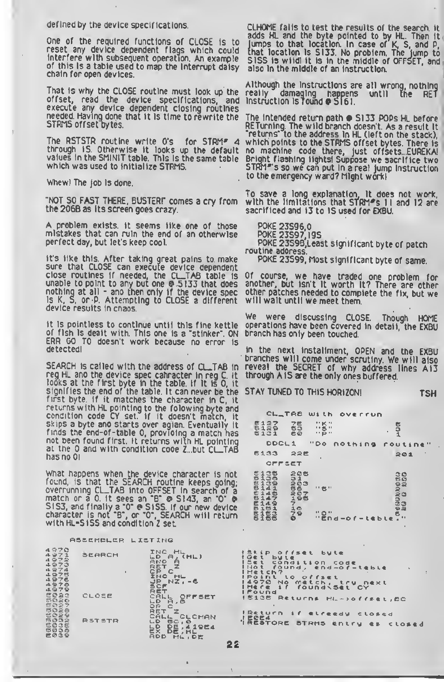defined by the device specifications.

One of the required functions of CLOSE Is to reset any device dependent flags which could interfere with subsequent operation. An example of this Is a table used to map the Interrupt daisy chain for open devices.

That is why the CLOSE routine must look up the<br>offset, read the device specifications, and offset, read the device specifications, execute any device dependent closing routines needed. Having done that It Is time to rewrite the STRMS offset bytes.

The RSTSTR routine write 0's for STRM\* 4 through 15. Otherwise It looks up the default values In the SMINIT table. This Is the same table which was used to initialize STRMS.

Whew! The job is done.

•NOT SO FAST THERE, BUSTERr comes a cry from the 2068 as Its screen goes crazy.

A problem exists, it seems like one of those mistakes that can ruin the end of an otherwise perfect day, but let's keep cool.

It's like this. After taking great pains to make sure that CLOSE can execute device dependent close routines if needed, the Cl\_TAB table Is unable to point to any but one • 5133 that does nothing at all - ano then only if the device spec is K, S, or P. Attempting to CLOSE a different device results in cnaos.

it is pointless to continue until this fine kettle of fish is dealt with. This one Is a 'stinker". ON ERR GO TO doesn't work because no error is detected!

SEARCH is called with the address of CL.TAB in reg HL and the device spec cahracter in reg C. It looks at the first byte in the table, if it is 0, it signifies the end of the table. It can never be the<br>first byte. If it matches the character in C. it first byte. If it matches the character in C, returns with HL pointing to the folow ingbyte and condition code CY set. If it doesn't match, it skips a byte and starts over agian. Eventually it finds the end-of-table 0, providing a match has not been found first, it returns with HL pointing at the 0 and with condition code Z. but CL.TAB has no 01

What happens when the device character is not found, is that the SEARCH routine keeps going; overrunning CL\_TAB into OFFSET in search of a<br>match or a 0. it sees an 'B' © 5143, an 'O' © S1S3, and finally a "O" @ S1SS. If our new device character is not '8', or 'O', SEARCH will return with HL-5155 and condition <sup>Z</sup> set.

flSSEMBLEP LISTING

| 4970<br>ふつつえ<br>4 오구줄<br>4973<br>4974<br>4975<br>4976<br>4978 | SEARCH        | п | INC<br>LD<br>(11.1)<br>a<br>AND.<br>良底车<br>СP<br>c<br>INC<br>HL<br>$NZ - 6$<br>JP |
|---------------------------------------------------------------|---------------|---|-----------------------------------------------------------------------------------|
| 4979<br>연연중간<br>5026<br>きの27<br>5028                          | CLOSE         |   | SCF<br>RE.<br>に良に<br>OFFSET<br>ШÐ<br>直<br>- 6<br>◎良<br>c<br>RET                   |
| 연준순송<br><b>BO32</b><br>EOCE<br>5036<br>医吸虫管                   | <b>RSTSTR</b> |   | CAL<br>CLCHAN<br>LD<br>5C, 0<br>L.D<br>DЕ<br>41964<br>医米<br>DE, HL<br>DE<br>Hu s  |

CLHOME falls to test the results of the search. It adds HI and the byte pointed to by HL. Then it lumps to that location. In case of K, S, and P, that location is 5133. No problem. The jump to 5155 is wild! It is in the middle of OFFSET, and also In the middle of an instruction.

Although the Instructions are all wrong, nothing really damaging happens until the RET Instruction Is round •5161.

The intended return path  $\bullet$  S133 POPs HL before RETurnlng. The wild branch doesn't. As a result It returns' to the address In HL (left on the stack), which points to the STRMS offset bytes. There is no machine code there, just offsets...EUREKA! Bright flashing lights! Suppose we sacrifice two 5TRM\*'s so we can put In a real Jump Instruction to the emergency ward? Might work!

To save a long explanation. It does not work, with the limitations that STRM\*s II and 12 are sacrificed and 13 to 15 used for EXBU.

POKE 23596,0

POKE 23597,195

POKE 23598,Least significant byte of patch routine address.

POKE 23599, Most significant byte of same.

Of course, we have traded one problem for another, but Isn't it worth It? There are other other patches needed to complete the fix, but we will wait until we meet them.

We were discussing CLOSE. Though HOME operations have been covered in detail, the EXBU branch has only been touched.

In the next Installment, OPEN and the EXBU branches will come under scrutiny. We will also reveal the SECRET of why address lines AI3 through A1S are the only ones buffered.

STAY TUNED TO THIS HORIZON! TSH

|               |                     |                     | CL_TRE WIth overrun                               |                   |                    |              |                                       |  |
|---------------|---------------------|---------------------|---------------------------------------------------|-------------------|--------------------|--------------|---------------------------------------|--|
|               |                     | <b>6127</b><br>6129 | $\frac{75}{63}$<br>$e\ddot{o}$                    | $\frac{115}{115}$ |                    | $\mathbf{r}$ | ちごし                                   |  |
|               |                     |                     |                                                   |                   |                    |              | DDCL1 "Do nothing routine"            |  |
|               |                     | 6133                | 225                                               |                   |                    |              | 201                                   |  |
|               |                     | OFFEET              |                                                   |                   |                    |              |                                       |  |
| <b>LESSES</b> | 13<br>$\frac{1}{4}$ | 145                 | <b>B A GREATHAND</b><br>Barbada ea<br>B A GREATHA | Ⅱ 合Ⅱ              |                    |              | 30<br><b>もの</b><br>Da a an<br>Dannasa |  |
|               |                     | E14516              |                                                   | " 0"              | $"end-of-tebte T"$ |              |                                       |  |
|               |                     |                     | kip offset byte<br>et byte                        |                   |                    |              | $\blacksquare$                        |  |

IStip offset byte<br>ISet byte (Sind tion code<br>I Hetch, to offset<br>I Hetch, to offset<br>I No Metch, try next<br>I Mere if foundxset CY<br>I Pound if foundxset CY<br>I Pound Returns HL->offset,BC **Seturn if elreedy closed** IRESTORE STRMS entry as closed

 $\mathfrak{t}$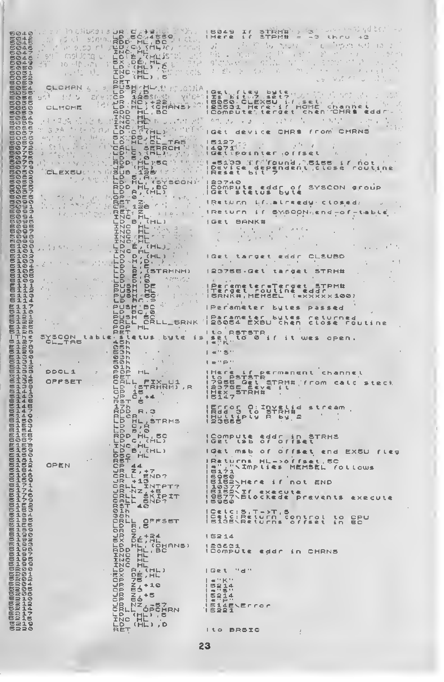|                |                                                                 | 504559<br><b>AP</b><br>D'HL BC -                                                                                                                                                                                                                                                                                                                                                                                                                                                                                                                | 049                                                                                                                                                                                                                                                                                                                 |
|----------------|-----------------------------------------------------------------|-------------------------------------------------------------------------------------------------------------------------------------------------------------------------------------------------------------------------------------------------------------------------------------------------------------------------------------------------------------------------------------------------------------------------------------------------------------------------------------------------------------------------------------------------|---------------------------------------------------------------------------------------------------------------------------------------------------------------------------------------------------------------------------------------------------------------------------------------------------------------------|
|                |                                                                 | 7.035<br>LSML, 207<br>七口<br><b>INC.</b><br><b>HEHL</b>                                                                                                                                                                                                                                                                                                                                                                                                                                                                                          |                                                                                                                                                                                                                                                                                                                     |
|                | . e7 t                                                          | EX DÉMILIT<br>LD (HL) / C<br>TRENHE / PENN                                                                                                                                                                                                                                                                                                                                                                                                                                                                                                      |                                                                                                                                                                                                                                                                                                                     |
| э              |                                                                 | of the<br>$\triangleright$<br>$(HL)$ , $E$                                                                                                                                                                                                                                                                                                                                                                                                                                                                                                      |                                                                                                                                                                                                                                                                                                                     |
| ΞA             | Crokek<br>$\mathcal{B}_{\mathbf{q}}$<br>are in <b>b</b><br>セクリー |                                                                                                                                                                                                                                                                                                                                                                                                                                                                                                                                                 | Ge.<br>l E g<br>$\pmb{i}$ d<br>工业<br>えいア ふらえて<br>in all                                                                                                                                                                                                                                                             |
|                | <b>CLHOHE</b>                                                   | PER THE CONSTRUCTION OF PERSONAL PROPERTY AND STRUCTURE OF PERSONAL PROPERTY AND ALLOW AND RESPONSE OF PERSONAL PROPERTY AND ALLOW AND RESPONSE OF PERSONAL PROPERTY AND ALLOW AND CONSIDERTY AND CONSIDERTY AND CONSIDERTY AN                                                                                                                                                                                                                                                                                                                  | 5050<br>$i.f.$ $j.e.$ $k.$<br>SOSO CLEXSU if set<br>23531 Here if HOME channel<br><b>ICompute</b> ' terget chen CHR\$<br>eddr                                                                                                                                                                                       |
|                |                                                                 | $\label{eq:1} \mathcal{M} \rightarrow \mathcal{N} \stackrel{\text{def}}{=} \mathcal{N} \stackrel{\text{def}}{=} \mathcal{N} \stackrel{\text{def}}{=} \mathcal{N} \stackrel{\text{def}}{=} \mathcal{N} \stackrel{\text{def}}{=} \mathcal{N} \stackrel{\text{def}}{=} \mathcal{N} \stackrel{\text{def}}{=} \mathcal{N} \stackrel{\text{def}}{=} \mathcal{N} \stackrel{\text{def}}{=} \mathcal{N} \stackrel{\text{def}}{=} \mathcal{N} \stackrel{\text{def}}{=} \mathcal{N} \stackrel{\text{def}}{=} \mathcal{N} \stackrel{\text{def$<br>INC<br>HE | 已行                                                                                                                                                                                                                                                                                                                  |
|                |                                                                 | ING HALLACTIC                                                                                                                                                                                                                                                                                                                                                                                                                                                                                                                                   | 信をえ<br><b>device</b><br>f E am                                                                                                                                                                                                                                                                                      |
|                |                                                                 | <b>CBH</b><br>L SERROH V                                                                                                                                                                                                                                                                                                                                                                                                                                                                                                                        | $\cdots$<br>14971<br><b>IGEtrpointer (offset</b>                                                                                                                                                                                                                                                                    |
| 9              |                                                                 | $\begin{bmatrix} \nabla \cdot \mathbf{R} \\ \mathbf{R} \\ \mathbf{R} \\ \mathbf{R} \\ \mathbf{R}\n\end{bmatrix}$<br>[11년 31 <b>5</b> )<br>[11년 ]<br><sub>[11문</sub> 화 (                                                                                                                                                                                                                                                                                                                                                                         | <b>NS155 IF NOT</b><br>-5133 X.C<br>'faund,                                                                                                                                                                                                                                                                         |
|                |                                                                 | <b><i>IISUB</i></b><br>LB RLP<br>5.A.F<br>(SYSCON)                                                                                                                                                                                                                                                                                                                                                                                                                                                                                              | Device dependent close routine<br>23740                                                                                                                                                                                                                                                                             |
|                |                                                                 | RDD<br>$\cdot$ , BC<br>۰<br>$\frac{p}{q}$ .<br>(H L)                                                                                                                                                                                                                                                                                                                                                                                                                                                                                            | <b>Compute</b><br>eddr of<br>SYSCON Group<br>  Get<br><b>Stetus</b><br>bute                                                                                                                                                                                                                                         |
|                | $\omega \leq \omega$ ).<br>$\sim$                               | 15 Q.P. H<br>風呂下<br>CP.                                                                                                                                                                                                                                                                                                                                                                                                                                                                                                                         | iReturn if.,alreedy closed.                                                                                                                                                                                                                                                                                         |
|                |                                                                 | RET<br>之<br>INC<br>IR<br>INc<br>$B_+$ (HL)                                                                                                                                                                                                                                                                                                                                                                                                                                                                                                      | SYSCON end - of - table<br><u>i Return</u><br>$1$ Get<br><b>BANK#</b>                                                                                                                                                                                                                                               |
|                |                                                                 | 肥<br>INC<br>INC                                                                                                                                                                                                                                                                                                                                                                                                                                                                                                                                 |                                                                                                                                                                                                                                                                                                                     |
|                |                                                                 | INC.<br>ER –                                                                                                                                                                                                                                                                                                                                                                                                                                                                                                                                    |                                                                                                                                                                                                                                                                                                                     |
| øэ             |                                                                 | D<br>LD<br>LD                                                                                                                                                                                                                                                                                                                                                                                                                                                                                                                                   | CLSUBD<br>target<br>eddr                                                                                                                                                                                                                                                                                            |
| 05<br>ØB<br>Ø9 |                                                                 | EB<br><b>Iddi</b><br>193<br>STRHNH)<br>LD<br>$L_{D}$                                                                                                                                                                                                                                                                                                                                                                                                                                                                                            | 123755 - GE t<br>target<br>5TRH#                                                                                                                                                                                                                                                                                    |
|                |                                                                 | <b>PUSH</b><br>BE                                                                                                                                                                                                                                                                                                                                                                                                                                                                                                                               | Peremeter=Terget STRM#<br>Terget routine eddr                                                                                                                                                                                                                                                                       |
|                |                                                                 | <b>SRadives.</b>                                                                                                                                                                                                                                                                                                                                                                                                                                                                                                                                | ISRNK#, MEMSEL (exxxxx100)<br>∣Peram¢ter<br>bytes<br><b>P 4 5 5 4 d</b>                                                                                                                                                                                                                                             |
|                |                                                                 | PUSH BC <sup>N</sup> PHOTOS                                                                                                                                                                                                                                                                                                                                                                                                                                                                                                                     | ( Parameter bytes<br>returned<br><b>CLOSE</b><br><b>routine</b>                                                                                                                                                                                                                                                     |
|                |                                                                 | POP<br><b>HL</b><br>stetus                                                                                                                                                                                                                                                                                                                                                                                                                                                                                                                      | I to RSTSTR                                                                                                                                                                                                                                                                                                         |
| 分              | SYSCON table.<br>CL_TAB                                         | byte                                                                                                                                                                                                                                                                                                                                                                                                                                                                                                                                            | <b>三月九日</b><br>tơ Øir<br>主义<br>OPEN.                                                                                                                                                                                                                                                                                |
| 31             |                                                                 | Øh                                                                                                                                                                                                                                                                                                                                                                                                                                                                                                                                              | $S$ .                                                                                                                                                                                                                                                                                                               |
|                | DDCL 1                                                          | OP<br>ヒザ                                                                                                                                                                                                                                                                                                                                                                                                                                                                                                                                        | channel                                                                                                                                                                                                                                                                                                             |
|                | OPPSET                                                          | Т×.<br>(STRHNH), R<br>Þ<br>Ρ                                                                                                                                                                                                                                                                                                                                                                                                                                                                                                                    | ILO BSIT PERMANENT CH<br> 7955 Get STRM# (from<br> 2955 Get STRM# (from<br> 2147<br> 2147<br><b>Calc</b><br>工业工                                                                                                                                                                                                     |
|                |                                                                 | Þ<br>RST<br>17h<br>RPD                                                                                                                                                                                                                                                                                                                                                                                                                                                                                                                          | まちに会身の                                                                                                                                                                                                                                                                                                              |
|                |                                                                 | RLCR<br>Þ<br><b>STRHS</b>                                                                                                                                                                                                                                                                                                                                                                                                                                                                                                                       | IECTOS O:Invelid<br>IRdd S to STRH#<br>IRddtiply R by 2<br>IRDBBB                                                                                                                                                                                                                                                   |
|                |                                                                 | D<br>9,8<br>$B_1$ 0                                                                                                                                                                                                                                                                                                                                                                                                                                                                                                                             |                                                                                                                                                                                                                                                                                                                     |
|                |                                                                 |                                                                                                                                                                                                                                                                                                                                                                                                                                                                                                                                                 | ICompute<br>IGET ISB<br>Addr in STRHS<br>of offset                                                                                                                                                                                                                                                                  |
|                |                                                                 |                                                                                                                                                                                                                                                                                                                                                                                                                                                                                                                                                 | lget msb<br>O(f)<br><b>Offset</b><br>end EXSU fleg<br><b>Returns</b><br>$HL - 20$ f fset, SC<br>J.                                                                                                                                                                                                                  |
|                | OPEN                                                            |                                                                                                                                                                                                                                                                                                                                                                                                                                                                                                                                                 | Bit Implies<br>MEMSEL follows                                                                                                                                                                                                                                                                                       |
|                |                                                                 |                                                                                                                                                                                                                                                                                                                                                                                                                                                                                                                                                 | 2050<br> 10227  ere if not END<br> 10277<br> 1027 <br> 2070<br> 2050<br> 2050                                                                                                                                                                                                                                       |
|                |                                                                 |                                                                                                                                                                                                                                                                                                                                                                                                                                                                                                                                                 | <b>execute</b>                                                                                                                                                                                                                                                                                                      |
|                |                                                                 |                                                                                                                                                                                                                                                                                                                                                                                                                                                                                                                                                 | ICELC: 5, T->T, 5<br> Celc: Return C<br>  5135\Returns<br>contral<br>CPU<br>to                                                                                                                                                                                                                                      |
|                |                                                                 |                                                                                                                                                                                                                                                                                                                                                                                                                                                                                                                                                 | Offset<br><b>BC</b><br>iπ                                                                                                                                                                                                                                                                                           |
|                |                                                                 |                                                                                                                                                                                                                                                                                                                                                                                                                                                                                                                                                 | 15214                                                                                                                                                                                                                                                                                                               |
|                |                                                                 |                                                                                                                                                                                                                                                                                                                                                                                                                                                                                                                                                 | 123631<br>ICompute<br>eddr<br>in.<br>CHRNS                                                                                                                                                                                                                                                                          |
|                | $\sim$                                                          |                                                                                                                                                                                                                                                                                                                                                                                                                                                                                                                                                 | $G$ is $L$<br>ਾ ਰਾ                                                                                                                                                                                                                                                                                                  |
|                |                                                                 |                                                                                                                                                                                                                                                                                                                                                                                                                                                                                                                                                 | $\mathbb{R}^n \times \mathbb{R}^n$<br>$= 14$                                                                                                                                                                                                                                                                        |
|                |                                                                 |                                                                                                                                                                                                                                                                                                                                                                                                                                                                                                                                                 | $\frac{321}{212}$                                                                                                                                                                                                                                                                                                   |
|                |                                                                 |                                                                                                                                                                                                                                                                                                                                                                                                                                                                                                                                                 | $\frac{1}{2}$ $\frac{1}{2}$ $\frac{1}{2}$ $\frac{1}{2}$ $\frac{1}{2}$ $\frac{1}{2}$ $\frac{1}{2}$ $\frac{1}{2}$ $\frac{1}{2}$ $\frac{1}{2}$ $\frac{1}{2}$ $\frac{1}{2}$ $\frac{1}{2}$ $\frac{1}{2}$ $\frac{1}{2}$ $\frac{1}{2}$ $\frac{1}{2}$ $\frac{1}{2}$ $\frac{1}{2}$ $\frac{1}{2}$ $\frac{1}{2}$ $\frac{1}{2}$ |
|                |                                                                 | $\begin{array}{l} {\displaystyle \frac{\text{min}(\text{O}\text{LOCC})\text{min}(\text{O}\text{LOC})\text{min}(\text{O}\text{LOC})\text{min}(\text{O}\text{LOC})\text{min}(\text{O}\text{LOC})\text{min}(\text{O}\text{LOC})}{\text{min}(\text{O}\text{LOC})\text{min}(\text{O}\text{LOC})\text{min}(\text{O}\text{LOC})\text{min}(\text{O}\text{LOC})}{\text{min}(\text{O}\text{LOC})\text{min}(\text{O}\text{LOC})\text{min}(\text{O}\text{LOC})\text{min}(\text{O}\text$                                                                     | <b>ILO BRSIC</b><br>÷                                                                                                                                                                                                                                                                                               |
|                |                                                                 |                                                                                                                                                                                                                                                                                                                                                                                                                                                                                                                                                 |                                                                                                                                                                                                                                                                                                                     |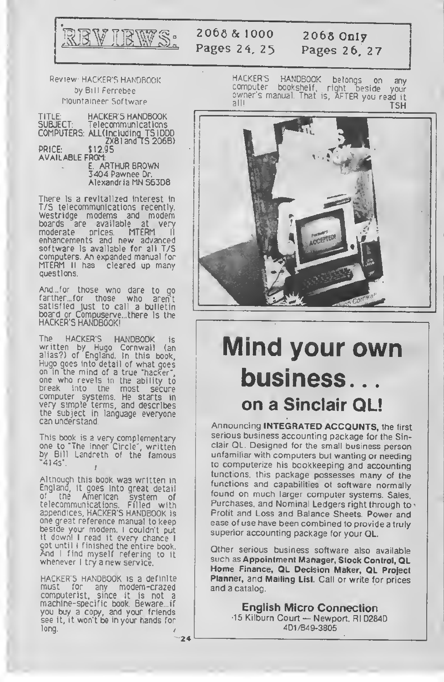

### 2066 & 1000 Pages 24, 25

2066 Only Pages 26, 27

Review HACKER'S HANDBOOK by Bill Ferrebee Mountaineer Software

TITLE: HACKER'S HANDBOOK<br>SUBJECT: Telecommunications SUBJECT: Telecommunications COMPUTERS: ALl(lncludinq\_TS!000 ZX8 <sup>1</sup> and <sup>1</sup> 5 2068) PRICE: \$12.95 AVAILABLE FROM: E. ARTHUR BROWN 3404 Pawnee Dr.

Alexandria MN 56308

There is a revitalized interest in T/S telecommunications recently. Westridge modems and modem boards are available at very<br>moderate prices. MTERM II moderate prices. MTERM II enhancements and new advanced software is available for all T/S computers. An expanded manual for MTERM II has cleared up many questions.

And... for those who dare to go farther.for those who aren't satisfied Just to call a bulletin board or Compuserve...there is the HACKER'S HANDBOOK!

The HACKER'S HANDBOOK is written by Hugo Cornwall (an alias?) of England. In this book, Hugo goes into detail of what goes on in the mind of a true "hacker", one who revels in the ability to break into the most secure computer systems. He starts in very simple terms, and describes the subject in language everyone can understand.

i his book is a very complementary one to "The Inner Circle", written by Bill Landreth of the famous "414s".

Although this book was written in England, it goes into great detail<br>of the American system of of the American system of telecommunications. Filled with appendices, HACKER'S HANDBOOK is one great reference manual to keep beside your modem. <sup>I</sup> couldn't put it down! <sup>I</sup> read it every chance <sup>I</sup> cot until I finished the entire book.<br>And I find myself refering to it<br>whenever I try a new service.

HACKER'S HANDBOOK is <sup>a</sup> definite must for any modem-crazed computerist, since it is not a machine-specific book. Beware .if you buy a copy, and your friends see it, it won't be in your hands for long.

**HACKER'S HANDBOOK** betongs on any computer bookshelf, right beside your<br>computer bookshelf, right beside your<br>all!  $211!$ TSH



# Mind your own business. . on a Sinclair QL!

Announcing INTEGRATED ACCOUNTS, the first serious business accounting package for the Sinclair QL. Designed for the small business person unfamiliar with computers but wanting or needing to computerize his bookkeeping and accounting functions, this package possesses many of the functions and capabilities of software normally found on much larger computer systems. Sales, Purchases, and Nominal Ledgers right through to v Profit and Loss and Balance Sheets. Power and ease of use have been combined to provide a truly superior accounting package for your QL.

Other serious business software also available such as Appointment Manager, Stock Control, QL Home Finance, QL Decision Maker, QL Project Planner, and Mailing List. Call or write for prices and a catalog

English Micro Connection •15 Kilburn Court — Newport, Rl <sup>02840</sup> 401/849-3805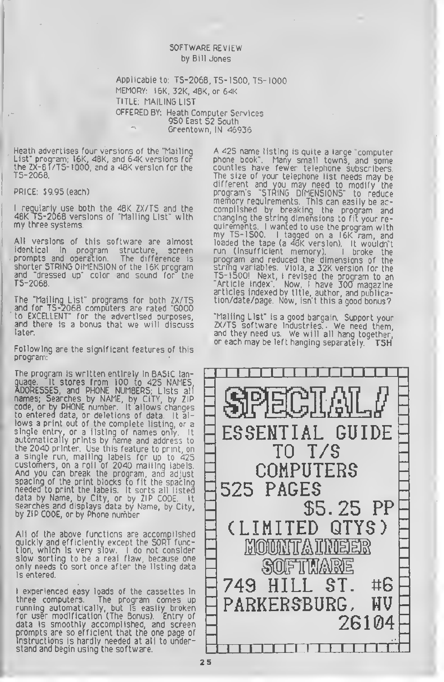#### SOFTWARE REVIEW by Bill Jones

Applicable to: TS-2068, T5-I500. TS-IOOO MEMORY' I6K, 32K, 48K, or 64K TITLE: MAILING LIST OFFERED BY: Heath Computer Services 950 East 52 South Greentown, IN 46936

Heath advertises four versions of the "Mailing List" program; I6K, 48K, and 64K versions for the ZX-81/TS-1000, and a 48K version for the<br>TS-2068.

PRICE: \$9.95 (each)

<sup>I</sup> regularly use both the 48K ZX/T5 and the 48K TS-2068 versions of "Mailing List" with my three systems.

All versions of this software are almost identical in program structure, screen prompts and operation. The difference is shorter STRING DIMENSION of the I6K program and "dressed up" color and sound for the TS-2068.

The "Mailing List" programs for both ZX/T5 and for TS-2068 computers are rated "GOOD to EXCELLENT" for the advertised purposes, and there is a bonus that we will discuss later.

Following are the significant features of this program:

The program is written entirely in BASIC language. It stores from 100 to 425 NAMES, ADDRESSES, and PHONE NUMBERS, Lists alf names; Searches by NAME, by CITY, by ZIP code, or by PHONE number It allows changes to entered data, or deletions of data It allows <sup>a</sup> print out of the complete listing, or <sup>a</sup> single entry, or a fisting of names only. It automatically prints by name and address to the 2040 printer. Use this feature to print, on a single run, mailing labels for up to 425 customers, on a roll of 2040 mailing labels And you can break the program, and adjust spacing of the print blocks to fit the spacing needed to print the labels. It sorts all listed data by Name, by City, or by ZIP CODE It searches and displays data by Name, by City, by ZIP CODE, or by Phone number

All of the above functions are accomplished quickly and efficiently except the SORT function, which is very slow. I do not consider I slow sorting to be a real flaw, because one only needs to sort once after the listing data is entered.

<sup>I</sup> experienced easy loads of the cassettes in three computers. The program comes up running automatically, but is easily broken for user modification (The Bonus). Entry of data is smoothly accomplished, and screen prompts are so efficient that the one page of instructions is hardly needed at all to understand and begin using the software.

A 425 name listing is quite <sup>a</sup> large "computer phone book". Many small towns, and some counties have fewer telephone subscribers The size of your telephone list needs may be different and you may need to modify the program's "STRING DIMENSIONS" to reduce memory requirements. This can easily be accomplished by breaking the program and changing the string dimensions to fit your requirements. <sup>I</sup> wanted to use the program with my TS-1500. <sup>I</sup> tagged on <sup>a</sup> I6K ram, and loaded the tape (a 48K version). It wouldn't run (Insufficient memory). <sup>I</sup> broke the program and reduced the dimensions of the string variables Viola, a 32K version for the TS- <sup>1</sup> 500! Next, <sup>I</sup> revised the program to an "Article Index". Now, <sup>I</sup> have 300 magazine articles indexed by title, author, and publication/date/page. Now, isn't this a good bonus?

"Mailing List" is a good bargain. Support your ZX/TS software industries. We need them, and they need us. We will all hang together or each may be left hanging separately. TSH

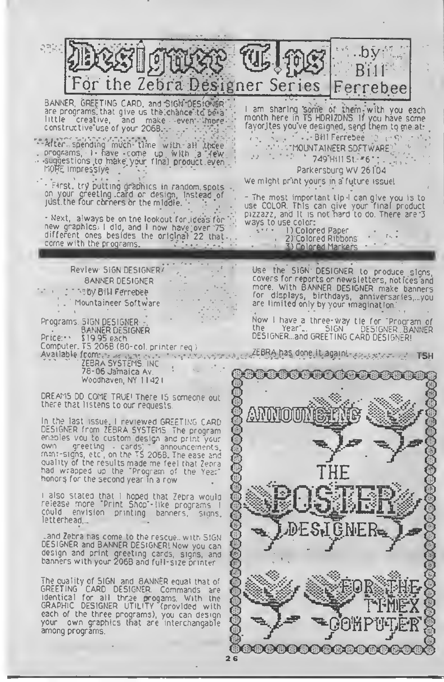.b. Bill the Zebra Designer Series Ferrebee BANNER. GREETING CARD, and 'SIGN DESIGNER are programs, that give us the chance to be a I am sharing some of them with you each month here in TS HORIZONS, it you have some and make event imprefayorites you've designed, send them to me at: constructive use of your 206B. ... BHI Ferrebee 2 - S After spending much time with all three **FOURTAINEER SOFTWARE** programs, I- have come up with a 'TeW 749 Hill St. - 6": suggestions to make your final product even<br>MORE impressiye  $-11.5 - 1$ Parkersburg WV 26104 We might print yours in a future issue! - First, try putting graphics in random, spots on your greeting card or design, instead of just the four corners or the middle. - The most important tip <sup>I</sup> can give you is to use COLOR This can give your final product pizzazz, and It is not hard to do There are 3 - Next, always be on tne lookout for ideas for "<br>new graphics; I did, and I now have over 75 ways to use color:<br>0 Colored Paper (0 Colored Paper)<br>0 Colored Ribbons (2 Colored Ribbons)  $16.5$ different ones besides the original 22 that 2) Colored Ribbons come with the programs. 3) Colored Markers Review SIGN DESIGNER' Use the SIGN DESIGNER to produce signs,<br>coversifor reports or newsletters, notices and<br>more. With BANNER DESIGNER make banners BANNER DESIGNER by Bill Ferrebee for displays, birthdays, anniversaries,, you Mountaineer Software are limited only by your imagination Now I have a three-way tie for "Program of<br>the Year".. SIGN DESIGNER BANNER Programs. SIGN DESIGNER : BANNER DESIGNER DESIGNER...and GREETING CARD DESIGNER! Price: \$19.95 each. Computer. TS 206B (80-col. printer req.)  $EEBRA$  has done, it agains-Available from:  $r_{\rm c}$  and  $\chi_{\rm C}$  and ZEBRA SYSTEMS INC 78-06 Jamaica Av **Kirth to the the the the th** Woodhaven, NY <sup>1</sup> <sup>1</sup> 42 DREAMS DO COME TRUE<sup>1</sup> There <sup>15</sup> someone out there that listens to our requests in the last issue, <sup>I</sup> reviewed GREETING CARD DESIGNER from ZEBRA SYSTEMS The program enables vou to custom design and print your<br>own ogreeting cards, announcements, mini-signs, etc , on the TS 2068. The ease and quality of the results made me feel that Zebra

<sup>i</sup> also stated that <sup>I</sup> hoped that Zebra would release more "Print Shop"-! ike programs <sup>I</sup> cbulo envision printmq banners, siqns letterhead,

had wrapped up the "Program of the Year"<br>honors for the second year in a row

DESIGNER and BANNER DESIGNER! Now you can design and print greeting cards, signs, and banners with your 2068 and full-size printer

The quality of SIGN and BANNER equal that of GREETING CARD DESIGNER. Commands are<br>identical for all three progams. With the identical for all thrae progams With the GRAPHIC DESIGNER UTILITY (provided with each of the three programs), you can design

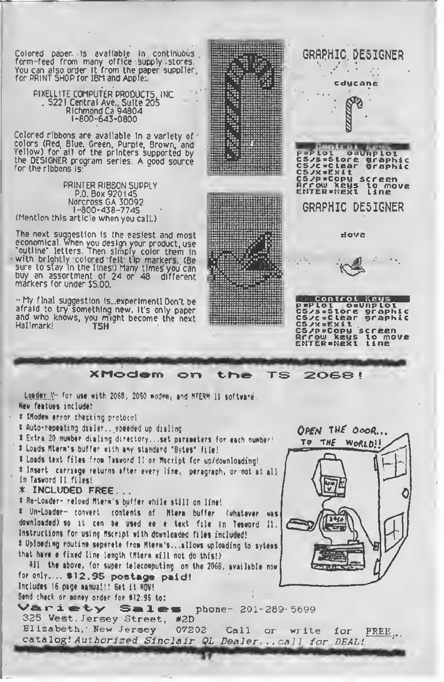You can also order it from the paper supplier for PRINT SHOP for IBM and Apple:.

> PIXELLITE COMPUTER PRODUCTS, INC. 5221 Central Ave., Suite 205 Richmond Ca 94804 1-800-643-0800

Colored ribbons are available In a variety of colors (Red, Blue. Green, Purple, Brown, and Yellow) for all of the printers supported by the DESIGNER program series. A good source for the ribbons Is:

PRINTER RIBBON SUPPLY P.O. Box 920145 Norcross GA 30092 1-800-438-7745 (Mention this article when you call.)

The next suggestion is the easiest and most economical, when you design your product, use "outline" letters Then simply color them In with brightly colored felt tip markers. (Be<br>sure to stay in the lines!) Many times you can buy an assortment of 24 or 48 different markers for under J5.00.

- My final suggestion ls...experimentl Don't be afraid to try something new. It's only paper<br>and who knows, you might become the next Hallmark! **TSH** 



<sup>X</sup> Modem on th® TS 20G8 !

Loader V- for use with 2068, 2050 modem, and NTERM II software. New featues include:

<sup>X</sup> Woden error checking protocol

t Auto-repeating dialer .. speeded up dialing

\* Extra 20 nunber dialing directory., set paraneters for each number'

\* Loads (Item's buffer with any standard 'Bytes' file!

<sup>I</sup> Loads text files froa Taseord II or Hscript for up/downloading! \* Insert carriage returns after every line, paragraph, or not at all in Tasword II files!

\* INCLUOED FREE. .

\* Re-Loader- reload Mterm's buffer while still on line!

Un-Loader- convert contents of Hierm buffer (whatever was downloaded) so it cen be used ee e text file in Tesword II. Instructions for using Hscript with downloaded files included! I Uploeding routine seperete from Mterm's...allows uploading to sytems that have <sup>a</sup> fixed line length (Htem will not do this!)

All the above, for super telecomputing on the 2068, available now for only.... \$12.95 postage paid!

Includes 16 page manual!! Get it NOV!

Send check or money order for \$12:95 to:<br>
Variety Sales phone- 201-289-5699 325 Vest Jersey Street, #2D

Elizabeth, New Jersey 07202 Call or write for Elizabeth, New Jersey 07202 Call or write for FREE...<br>catalog! Authorized Sinclair QL Dealer...call for DEAL!

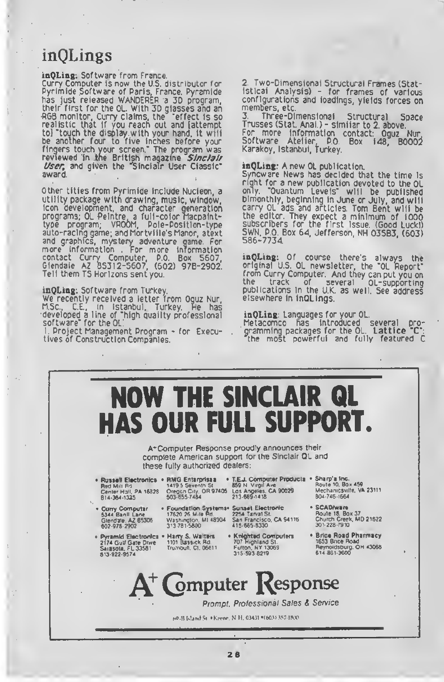## inQLings

inQLing: Software from France.

Curry Computer is now the U.5. distributor for Pyrimide Software of Paris, France. Pyramide has just released WANDERER <sup>a</sup> 3D program, their first for the QL. With 3D glasses and an •RGB monitor, Curry claims, the 'effect Is so realistic that if you reach out and [attempt to] 'touch the display with your hand, it will be another four to five inches before your fingers touch your screen.' The program was reviewed in the British magazine Sinclair *User*, and given the "Sinclair User Classic". award.

Other titles from Pyrimide include Nucleon, a utility package with drawing, music, window, icon development, and character generation programs; QL Peintre. a full-color Macpalnttype program, VROOM, Pole-Posttion-type auto-racing game; and Mortville's Manor, atext and graphics, mystery adventure game. For more information . For more information contact Curry Computer, P.O. Box 5607, Glendale A<sup>Z</sup> 85312-5607, (602) 978-2902. Tell them T5 Horizons sent you.

i**nQLing:** Software from Turkey.<br>We recently received a lette<u>r</u> from Oguz Nur, M.Sc., C.E., in Istanbul, Turkey. He has developed a line of "high quality professional software' for the QL.

<sup>I</sup> Project Management Program - for Executives of Construction Companies.

2. Two-Dimensional Structural Frames (Statistical Analysis) - for frames of various configurations and ioadings, yields forces on<br>members, etc.<br>3. Three-Dimensionai Structural Space

3. Three-Dimensional Structural Space Trusses (Stat. Anal.) - similar to 2. above. For more information contact: Oguz Nur, Software Atelier P.O. Box 148, 80002 Karakoy. Istanbul, Turkey.

#### inQLing: A new OL publication.

Syncware News has decided that the time is right for <sup>a</sup> new publication devoted to the OL only. 'Quantum Levels' will be published bimonthly, beginning in June or July, and will carry QL ads and articles. Tom Bent will be the editor. They expect <sup>a</sup> minimum of 1000 subscribers for the first issue. (Good Luckl) 5WN, P.O 8ox 64, Jefferson, NH 03583, (603) 586-7734.

inQLing: Of course there's always the original U.S. QL newsletter, the "OL Report' from Curry Computer. And they can put you on the track of several QL-supporting publications In the U.K. as well. See address elsewhere in inQLings.

#### inQLing: Languages for your QL.

Metacomco has Introduced several programming packages for the QL. Lattice 'C\*: the most powerful and fully featured C

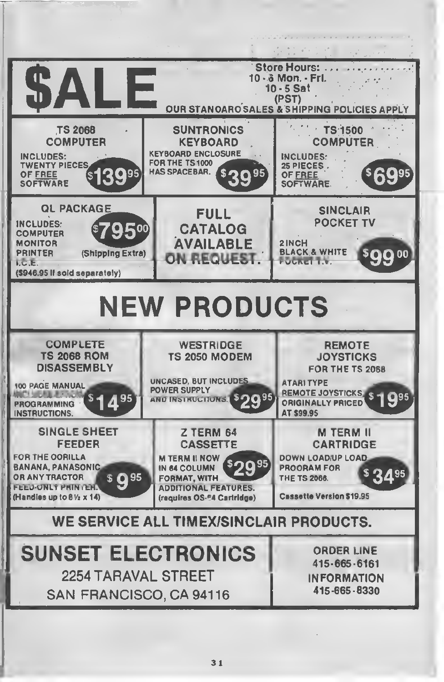